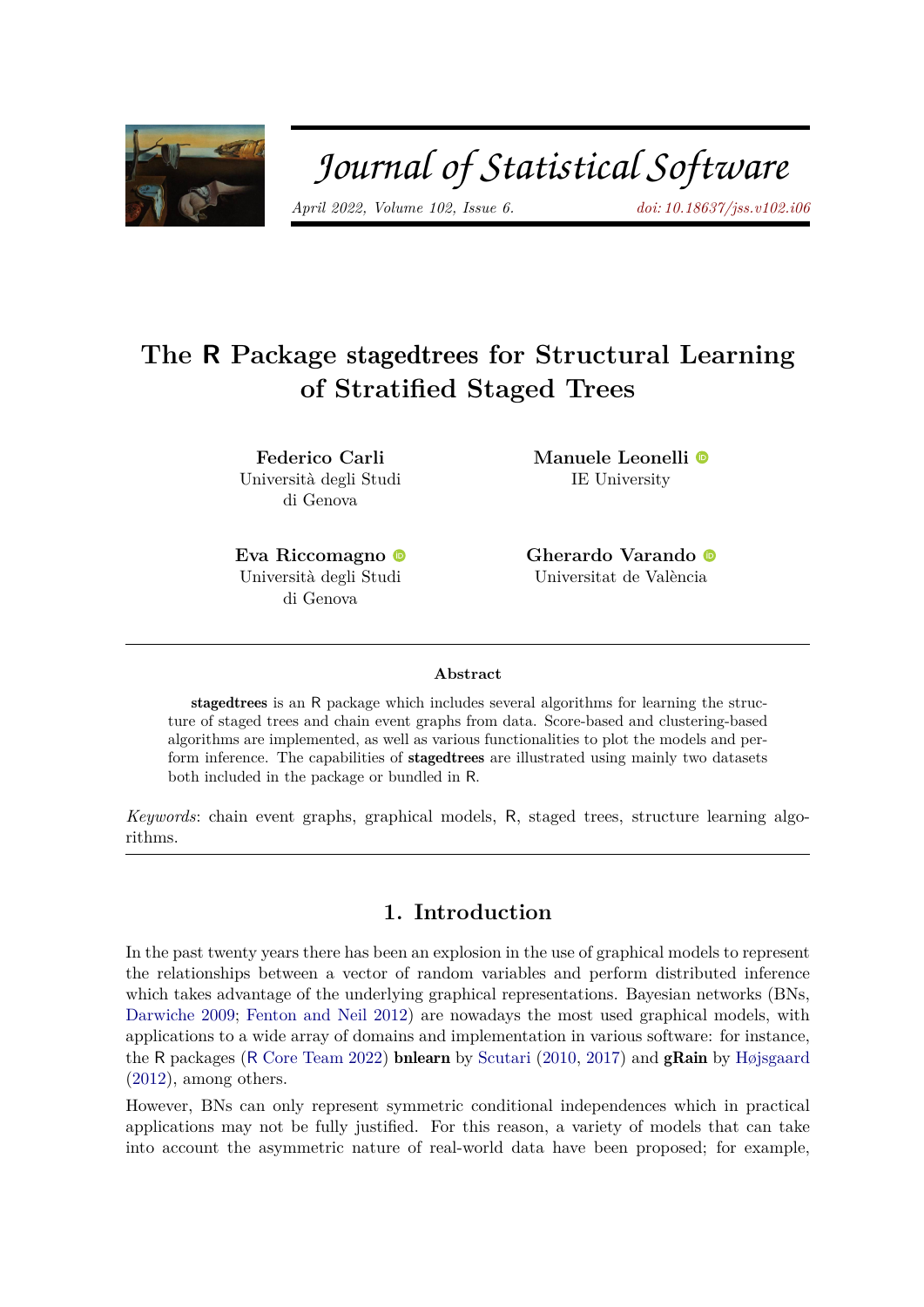

# Journal of Statistical Software

*April 2022, Volume 102, Issue 6. [doi: 10.18637/jss.v102.i06](https://doi.org/10.18637/jss.v102.i06)*

# **The R Package** stagedtrees **for Structural Learning of Stratified Staged Trees**

**Federico Carli** Università degli Studi di Genova

**Manuele Leonelli** IE University

**Eva Riccomagno** Università degli Studi di Genova

**Gherardo Varando** Universitat de València

#### **Abstract**

stagedtrees is an R package which includes several algorithms for learning the structure of staged trees and chain event graphs from data. Score-based and clustering-based algorithms are implemented, as well as various functionalities to plot the models and perform inference. The capabilities of stagedtrees are illustrated using mainly two datasets both included in the package or bundled in R.

*Keywords*: chain event graphs, graphical models, R, staged trees, structure learning algorithms.

# **1. Introduction**

In the past twenty years there has been an explosion in the use of graphical models to represent the relationships between a vector of random variables and perform distributed inference which takes advantage of the underlying graphical representations. Bayesian networks (BNs, [Darwiche](#page-25-0) [2009;](#page-25-0) [Fenton and Neil](#page-26-0) [2012\)](#page-26-0) are nowadays the most used graphical models, with applications to a wide array of domains and implementation in various software: for instance, the R packages (R [Core Team](#page-27-0) [2022\)](#page-27-0) **bnlearn** by [Scutari](#page-27-1) [\(2010,](#page-27-1) [2017\)](#page-27-2) and **gRain** by [Højsgaard](#page-26-1) [\(2012\)](#page-26-1), among others.

However, BNs can only represent symmetric conditional independences which in practical applications may not be fully justified. For this reason, a variety of models that can take into account the asymmetric nature of real-world data have been proposed; for example,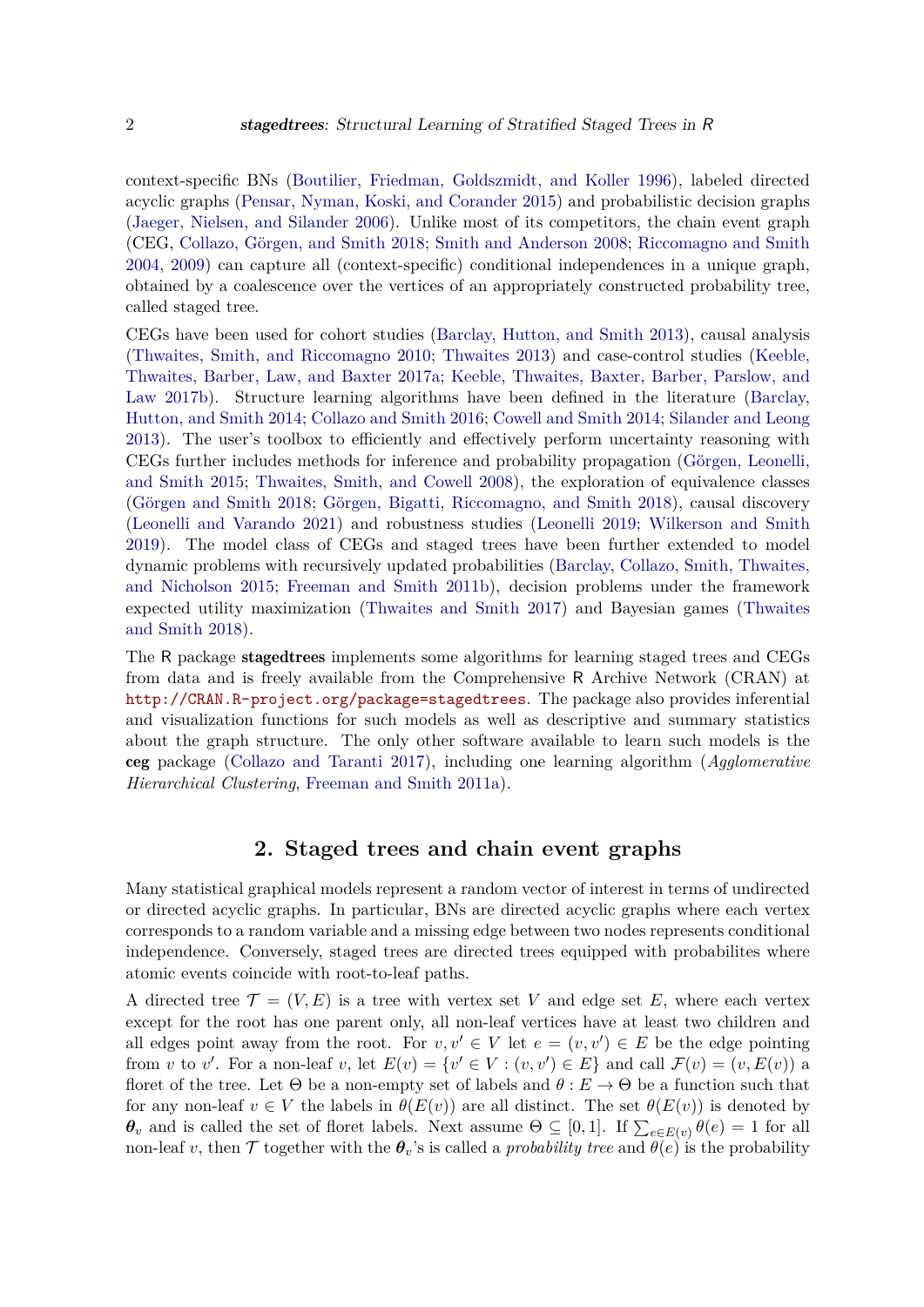context-specific BNs [\(Boutilier, Friedman, Goldszmidt, and Koller](#page-25-1) [1996\)](#page-25-1), labeled directed acyclic graphs [\(Pensar, Nyman, Koski, and Corander](#page-27-3) [2015\)](#page-27-3) and probabilistic decision graphs [\(Jaeger, Nielsen, and Silander](#page-26-2) [2006\)](#page-26-2). Unlike most of its competitors, the chain event graph (CEG, [Collazo, Görgen, and Smith](#page-25-2) [2018;](#page-25-2) [Smith and Anderson](#page-28-0) [2008;](#page-28-0) [Riccomagno and Smith](#page-27-4) [2004,](#page-27-4) [2009\)](#page-27-5) can capture all (context-specific) conditional independences in a unique graph, obtained by a coalescence over the vertices of an appropriately constructed probability tree, called staged tree.

CEGs have been used for cohort studies [\(Barclay, Hutton, and Smith](#page-25-3) [2013\)](#page-25-3), causal analysis [\(Thwaites, Smith, and Riccomagno](#page-28-1) [2010;](#page-28-1) [Thwaites](#page-28-2) [2013\)](#page-28-2) and case-control studies [\(Keeble,](#page-26-3) [Thwaites, Barber, Law, and Baxter](#page-26-3) [2017a;](#page-26-3) [Keeble, Thwaites, Baxter, Barber, Parslow, and](#page-26-4) [Law](#page-26-4) [2017b\)](#page-26-4). Structure learning algorithms have been defined in the literature [\(Barclay,](#page-25-4) [Hutton, and Smith](#page-25-4) [2014;](#page-25-4) [Collazo and Smith](#page-25-5) [2016;](#page-25-5) [Cowell and Smith](#page-25-6) [2014;](#page-25-6) [Silander and Leong](#page-28-3) [2013\)](#page-28-3). The user's toolbox to efficiently and effectively perform uncertainty reasoning with CEGs further includes methods for inference and probability propagation [\(Görgen, Leonelli,](#page-26-5) [and Smith](#page-26-5) [2015;](#page-26-5) [Thwaites, Smith, and Cowell](#page-28-4) [2008\)](#page-28-4), the exploration of equivalence classes [\(Görgen and Smith](#page-26-6) [2018;](#page-26-6) [Görgen, Bigatti, Riccomagno, and Smith](#page-26-7) [2018\)](#page-26-7), causal discovery [\(Leonelli and Varando](#page-27-6) [2021\)](#page-27-6) and robustness studies [\(Leonelli](#page-27-7) [2019;](#page-27-7) [Wilkerson and Smith](#page-28-5) [2019\)](#page-28-5). The model class of CEGs and staged trees have been further extended to model dynamic problems with recursively updated probabilities [\(Barclay, Collazo, Smith, Thwaites,](#page-25-7) [and Nicholson](#page-25-7) [2015;](#page-25-7) [Freeman and Smith](#page-26-8) [2011b\)](#page-26-8), decision problems under the framework expected utility maximization [\(Thwaites and Smith](#page-28-6) [2017\)](#page-28-6) and Bayesian games [\(Thwaites](#page-28-7) [and Smith](#page-28-7) [2018\)](#page-28-7).

The R package stagedtrees implements some algorithms for learning staged trees and CEGs from data and is freely available from the Comprehensive R Archive Network (CRAN) at <http://CRAN.R-project.org/package=stagedtrees>. The package also provides inferential and visualization functions for such models as well as descriptive and summary statistics about the graph structure. The only other software available to learn such models is the ceg package [\(Collazo and Taranti](#page-25-8) [2017\)](#page-25-8), including one learning algorithm (*Agglomerative Hierarchical Clustering*, [Freeman and Smith](#page-26-9) [2011a\)](#page-26-9).

## **2. Staged trees and chain event graphs**

Many statistical graphical models represent a random vector of interest in terms of undirected or directed acyclic graphs. In particular, BNs are directed acyclic graphs where each vertex corresponds to a random variable and a missing edge between two nodes represents conditional independence. Conversely, staged trees are directed trees equipped with probabilites where atomic events coincide with root-to-leaf paths.

A directed tree  $\mathcal{T} = (V, E)$  is a tree with vertex set V and edge set E, where each vertex except for the root has one parent only, all non-leaf vertices have at least two children and all edges point away from the root. For  $v, v' \in V$  let  $e = (v, v') \in E$  be the edge pointing from *v* to *v'*. For a non-leaf *v*, let  $E(v) = \{v' \in V : (v, v') \in E\}$  and call  $\mathcal{F}(v) = (v, E(v))$  a floret of the tree. Let  $\Theta$  be a non-empty set of labels and  $\theta : E \to \Theta$  be a function such that for any non-leaf  $v \in V$  the labels in  $\theta(E(v))$  are all distinct. The set  $\theta(E(v))$  is denoted by *θ*<sup>*v*</sup> and is called the set of floret labels. Next assume Θ ⊆ [0, 1]. If  $\sum_{e \in E(v)} θ(e) = 1$  for all non-leaf *v*, then  $\mathcal T$  together with the  $\theta_v$ 's is called a *probability tree* and  $\theta(e)$  is the probability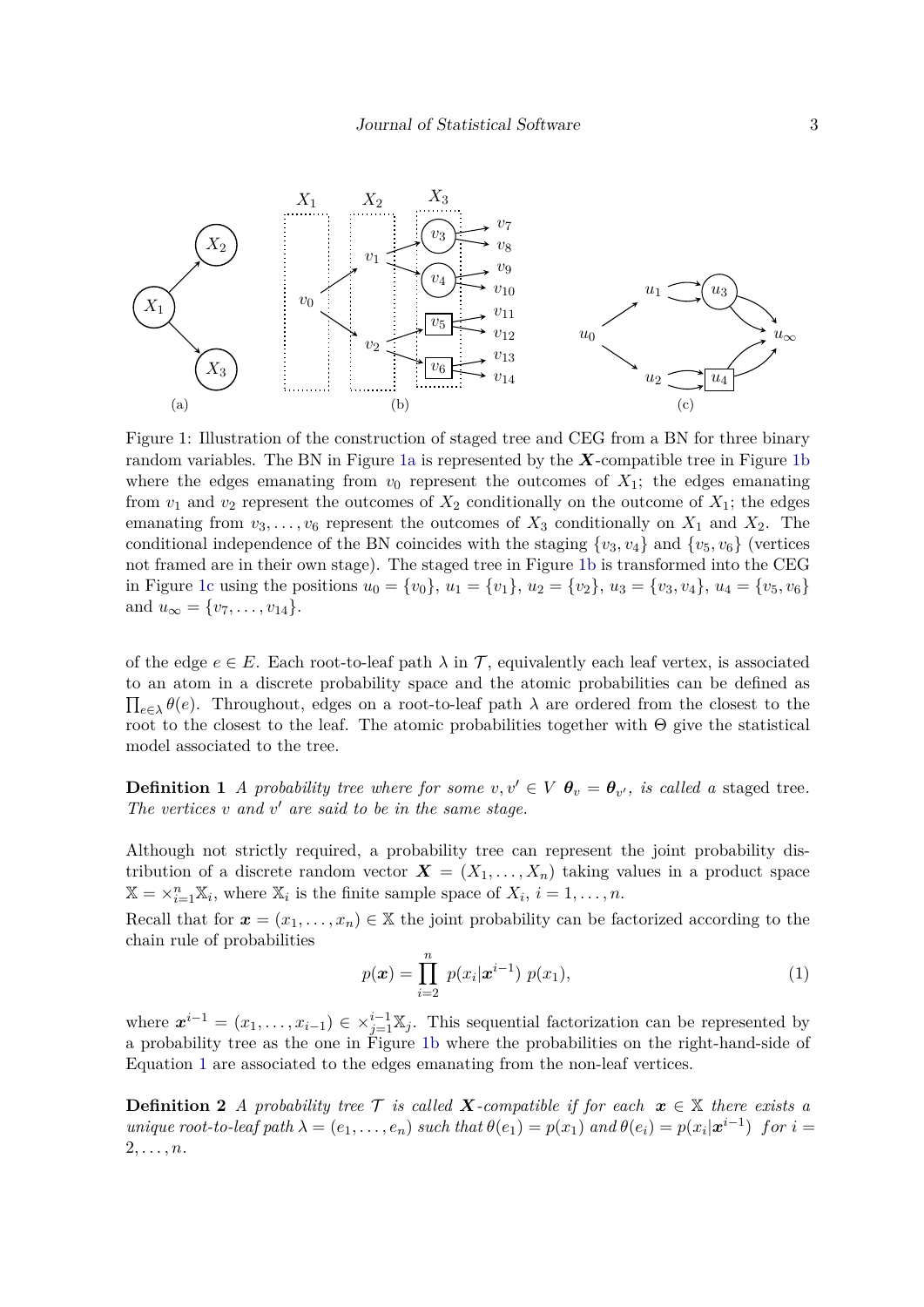<span id="page-2-4"></span><span id="page-2-0"></span>

<span id="page-2-2"></span><span id="page-2-1"></span>Figure 1: Illustration of the construction of staged tree and CEG from a BN for three binary random variables. The BN in Figure [1a](#page-2-0) is represented by the *X*-compatible tree in Figure [1b](#page-2-1) where the edges emanating from  $v_0$  represent the outcomes of  $X_1$ ; the edges emanating from  $v_1$  and  $v_2$  represent the outcomes of  $X_2$  conditionally on the outcome of  $X_1$ ; the edges emanating from  $v_3, \ldots, v_6$  represent the outcomes of  $X_3$  conditionally on  $X_1$  and  $X_2$ . The conditional independence of the BN coincides with the staging  $\{v_3, v_4\}$  and  $\{v_5, v_6\}$  (vertices not framed are in their own stage). The staged tree in Figure [1b](#page-2-1) is transformed into the CEG in Figure [1c](#page-2-2) using the positions  $u_0 = \{v_0\}$ ,  $u_1 = \{v_1\}$ ,  $u_2 = \{v_2\}$ ,  $u_3 = \{v_3, v_4\}$ ,  $u_4 = \{v_5, v_6\}$ and  $u_{\infty} = \{v_7, \ldots, v_{14}\}.$ 

of the edge  $e \in E$ . Each root-to-leaf path  $\lambda$  in  $\mathcal{T}$ , equivalently each leaf vertex, is associated to an atom in a discrete probability space and the atomic probabilities can be defined as  $\prod_{e \in \lambda} \theta(e)$ . Throughout, edges on a root-to-leaf path  $\lambda$  are ordered from the closest to the root to the closest to the leaf. The atomic probabilities together with  $\Theta$  give the statistical model associated to the tree.

**Definition 1** *A probability tree where for some*  $v, v' \in V$   $\theta_v = \theta_{v'}$ , *is called a* staged tree. *The vertices v and v* ′ *are said to be in the same stage.*

Although not strictly required, a probability tree can represent the joint probability distribution of a discrete random vector  $\mathbf{X} = (X_1, \ldots, X_n)$  taking values in a product space  $\mathbb{X} = \times_{i=1}^{n} \mathbb{X}_i$ , where  $\mathbb{X}_i$  is the finite sample space of  $X_i$ ,  $i = 1, \ldots, n$ .

Recall that for  $\mathbf{x} = (x_1, \ldots, x_n) \in \mathbb{X}$  the joint probability can be factorized according to the chain rule of probabilities

<span id="page-2-3"></span>
$$
p(\boldsymbol{x}) = \prod_{i=2}^{n} p(x_i | \boldsymbol{x}^{i-1}) p(x_1), \qquad (1)
$$

where  $\mathbf{x}^{i-1} = (x_1, \ldots, x_{i-1}) \in \times_{j=1}^{i-1} \mathbb{X}_j$ . This sequential factorization can be represented by a probability tree as the one in Figure [1b](#page-2-1) where the probabilities on the right-hand-side of Equation [1](#page-2-3) are associated to the edges emanating from the non-leaf vertices.

**Definition 2** *A probability tree*  $\mathcal{T}$  *is called*  $\mathbf{X}$ *-compatible if for each*  $\mathbf{x} \in \mathbb{X}$  *there exists a* unique root-to-leaf path  $\lambda = (e_1, \ldots, e_n)$  such that  $\theta(e_1) = p(x_1)$  and  $\theta(e_i) = p(x_i | \mathbf{x}^{i-1})$  for  $i =$ 2*, . . . , n.*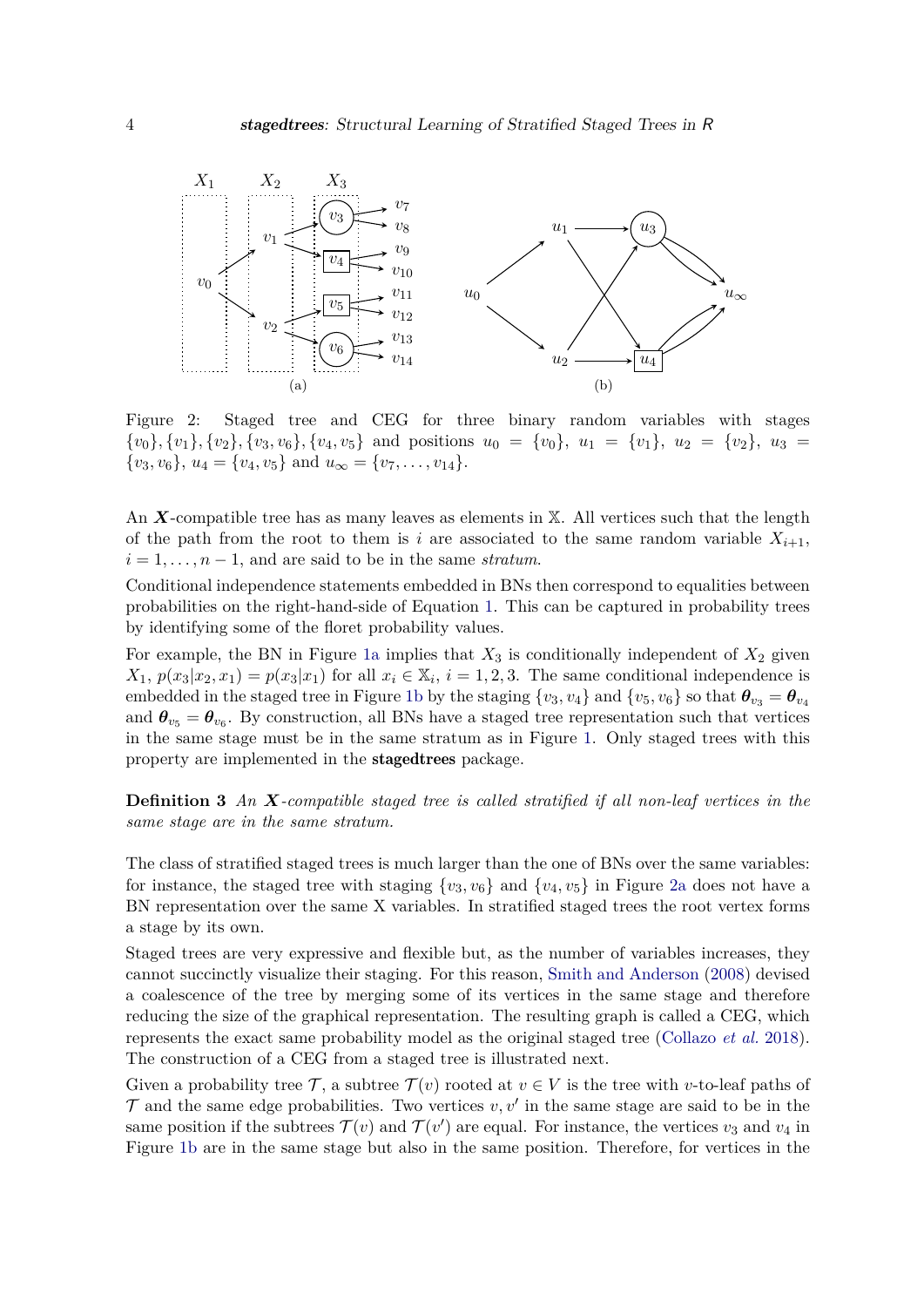<span id="page-3-0"></span>

Figure 2: Staged tree and CEG for three binary random variables with stages  ${v_0}, {v_1}, {v_2}, {v_3}, {v_6}, {v_4}, {v_5}$  and positions  $u_0 = {v_0}, u_1 = {v_1}, u_2 = {v_2}, u_3 =$  $\{v_3, v_6\}, u_4 = \{v_4, v_5\}$  and  $u_\infty = \{v_7, \ldots, v_{14}\}.$ 

An X-compatible tree has as many leaves as elements in X. All vertices such that the length of the path from the root to them is *i* are associated to the same random variable  $X_{i+1}$ ,  $i = 1, \ldots, n - 1$ , and are said to be in the same *stratum*.

Conditional independence statements embedded in BNs then correspond to equalities between probabilities on the right-hand-side of Equation [1.](#page-2-3) This can be captured in probability trees by identifying some of the floret probability values.

For example, the BN in Figure [1a](#page-2-0) implies that  $X_3$  is conditionally independent of  $X_2$  given *X*<sub>1</sub>,  $p(x_3|x_2, x_1) = p(x_3|x_1)$  for all  $x_i \in \mathbb{X}_i$ ,  $i = 1, 2, 3$ . The same conditional independence is embedded in the staged tree in Figure [1b](#page-2-1) by the staging  $\{v_3, v_4\}$  and  $\{v_5, v_6\}$  so that  $\theta_{v_3} = \theta_{v_4}$ and  $\theta_{v_5} = \theta_{v_6}$ . By construction, all BNs have a staged tree representation such that vertices in the same stage must be in the same stratum as in Figure [1.](#page-2-4) Only staged trees with this property are implemented in the stagedtrees package.

**Definition 3** *An X-compatible staged tree is called stratified if all non-leaf vertices in the same stage are in the same stratum.*

The class of stratified staged trees is much larger than the one of BNs over the same variables: for instance, the staged tree with staging  $\{v_3, v_6\}$  and  $\{v_4, v_5\}$  in Figure [2a](#page-3-0) does not have a BN representation over the same X variables. In stratified staged trees the root vertex forms a stage by its own.

Staged trees are very expressive and flexible but, as the number of variables increases, they cannot succinctly visualize their staging. For this reason, [Smith and Anderson](#page-28-0) [\(2008\)](#page-28-0) devised a coalescence of the tree by merging some of its vertices in the same stage and therefore reducing the size of the graphical representation. The resulting graph is called a CEG, which represents the exact same probability model as the original staged tree [\(Collazo](#page-25-2) *et al.* [2018\)](#page-25-2). The construction of a CEG from a staged tree is illustrated next.

Given a probability tree  $\mathcal{T}$ , a subtree  $\mathcal{T}(v)$  rooted at  $v \in V$  is the tree with *v*-to-leaf paths of  $\mathcal T$  and the same edge probabilities. Two vertices  $v, v'$  in the same stage are said to be in the same position if the subtrees  $\mathcal{T}(v)$  and  $\mathcal{T}(v')$  are equal. For instance, the vertices  $v_3$  and  $v_4$  in Figure [1b](#page-2-1) are in the same stage but also in the same position. Therefore, for vertices in the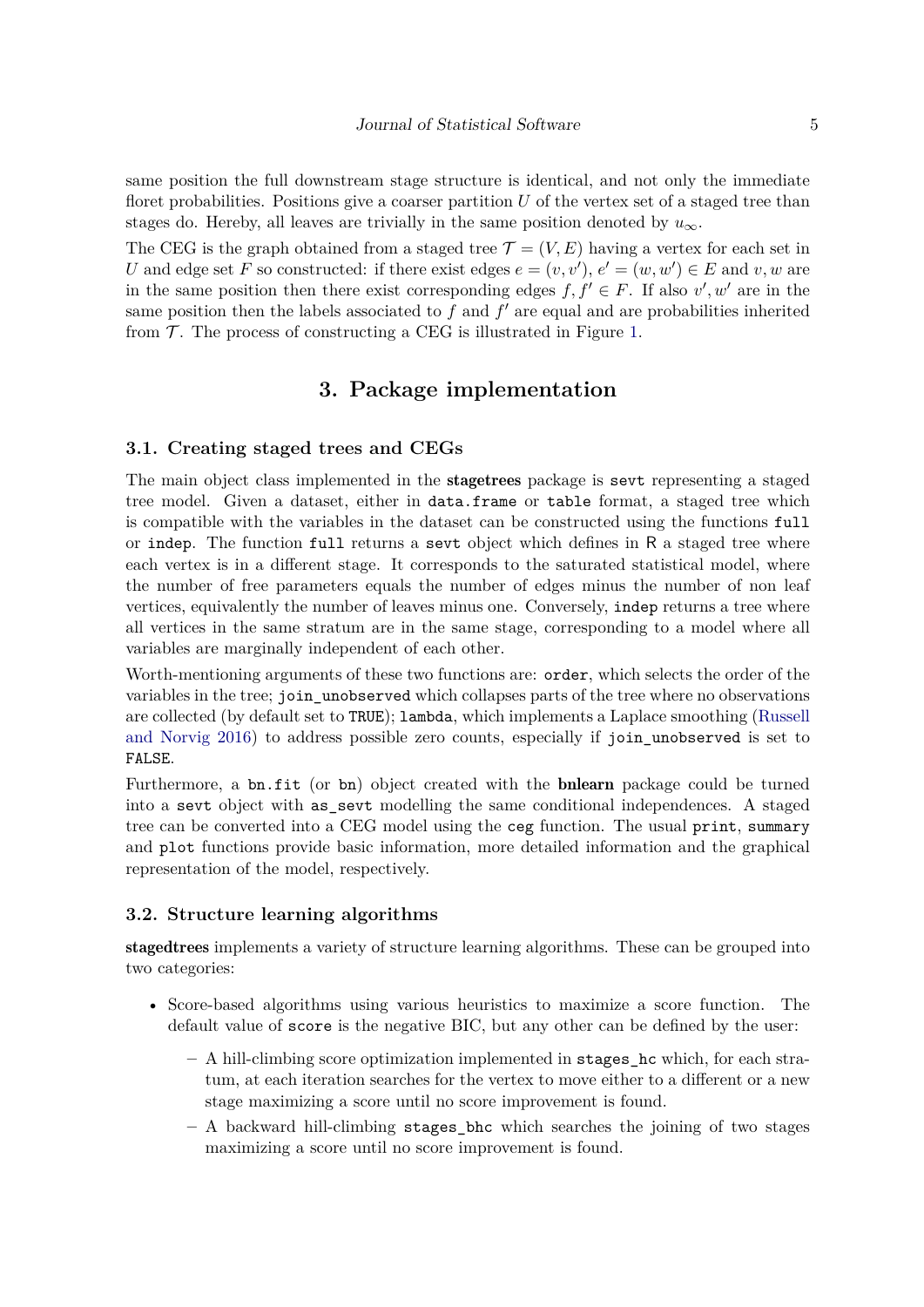same position the full downstream stage structure is identical, and not only the immediate floret probabilities. Positions give a coarser partition *U* of the vertex set of a staged tree than stages do. Hereby, all leaves are trivially in the same position denoted by  $u_{\infty}$ .

The CEG is the graph obtained from a staged tree  $\mathcal{T} = (V, E)$  having a vertex for each set in *U* and edge set *F* so constructed: if there exist edges  $e = (v, v')$ ,  $e' = (w, w') \in E$  and  $v, w$  are in the same position then there exist corresponding edges  $f, f' \in F$ . If also  $v', w'$  are in the same position then the labels associated to  $f$  and  $f'$  are equal and are probabilities inherited from  $\mathcal T$ . The process of constructing a CEG is illustrated in Figure [1.](#page-2-4)

# **3. Package implementation**

#### **3.1. Creating staged trees and CEGs**

The main object class implemented in the stagetrees package is sevt representing a staged tree model. Given a dataset, either in data.frame or table format, a staged tree which is compatible with the variables in the dataset can be constructed using the functions full or indep. The function full returns a sevt object which defines in R a staged tree where each vertex is in a different stage. It corresponds to the saturated statistical model, where the number of free parameters equals the number of edges minus the number of non leaf vertices, equivalently the number of leaves minus one. Conversely, indep returns a tree where all vertices in the same stratum are in the same stage, corresponding to a model where all variables are marginally independent of each other.

Worth-mentioning arguments of these two functions are: **order**, which selects the order of the variables in the tree; join unobserved which collapses parts of the tree where no observations are collected (by default set to TRUE); lambda, which implements a Laplace smoothing [\(Russell](#page-27-8) [and Norvig](#page-27-8) [2016\)](#page-27-8) to address possible zero counts, especially if join\_unobserved is set to FALSE.

Furthermore, a bn.fit (or bn) object created with the **bnlearn** package could be turned into a sevt object with as\_sevt modelling the same conditional independences. A staged tree can be converted into a CEG model using the ceg function. The usual print, summary and plot functions provide basic information, more detailed information and the graphical representation of the model, respectively.

#### **3.2. Structure learning algorithms**

stagedtrees implements a variety of structure learning algorithms. These can be grouped into two categories:

- Score-based algorithms using various heuristics to maximize a score function. The default value of score is the negative BIC, but any other can be defined by the user:
	- **–** A hill-climbing score optimization implemented in stages\_hc which, for each stratum, at each iteration searches for the vertex to move either to a different or a new stage maximizing a score until no score improvement is found.
	- **–** A backward hill-climbing stages\_bhc which searches the joining of two stages maximizing a score until no score improvement is found.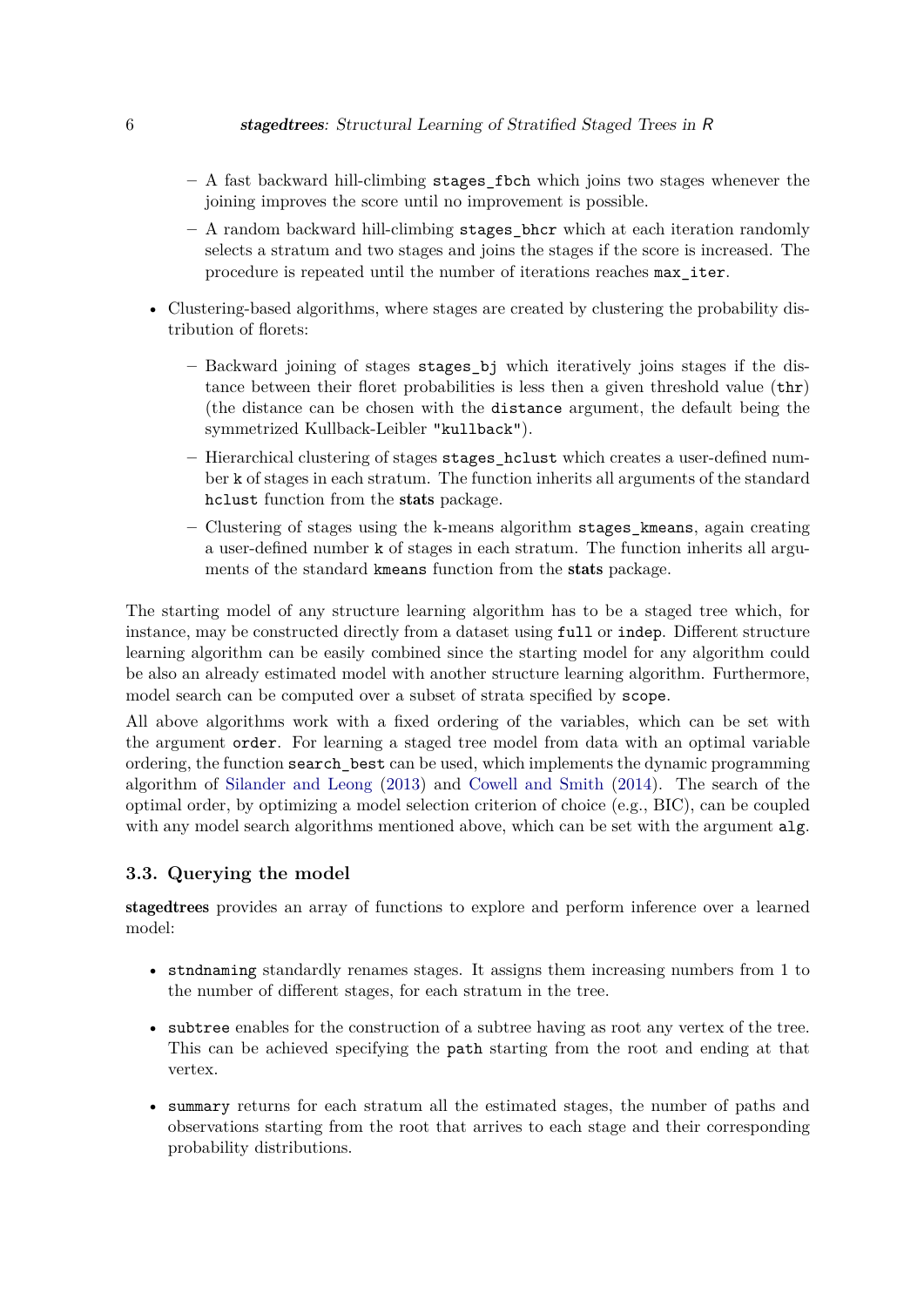- **–** A fast backward hill-climbing stages\_fbch which joins two stages whenever the joining improves the score until no improvement is possible.
- **–** A random backward hill-climbing stages\_bhcr which at each iteration randomly selects a stratum and two stages and joins the stages if the score is increased. The procedure is repeated until the number of iterations reaches max\_iter.
- Clustering-based algorithms, where stages are created by clustering the probability distribution of florets:
	- **–** Backward joining of stages stages\_bj which iteratively joins stages if the distance between their floret probabilities is less then a given threshold value (thr) (the distance can be chosen with the distance argument, the default being the symmetrized Kullback-Leibler "kullback").
	- **–** Hierarchical clustering of stages stages\_hclust which creates a user-defined number k of stages in each stratum. The function inherits all arguments of the standard hclust function from the stats package.
	- **–** Clustering of stages using the k-means algorithm stages\_kmeans, again creating a user-defined number k of stages in each stratum. The function inherits all arguments of the standard kmeans function from the stats package.

The starting model of any structure learning algorithm has to be a staged tree which, for instance, may be constructed directly from a dataset using full or indep. Different structure learning algorithm can be easily combined since the starting model for any algorithm could be also an already estimated model with another structure learning algorithm. Furthermore, model search can be computed over a subset of strata specified by scope.

All above algorithms work with a fixed ordering of the variables, which can be set with the argument order. For learning a staged tree model from data with an optimal variable ordering, the function search\_best can be used, which implements the dynamic programming algorithm of [Silander and Leong](#page-28-3) [\(2013\)](#page-28-3) and [Cowell and Smith](#page-25-6) [\(2014\)](#page-25-6). The search of the optimal order, by optimizing a model selection criterion of choice (e.g., BIC), can be coupled with any model search algorithms mentioned above, which can be set with the argument alg.

#### **3.3. Querying the model**

stagedtrees provides an array of functions to explore and perform inference over a learned model:

- stndnaming standardly renames stages. It assigns them increasing numbers from 1 to the number of different stages, for each stratum in the tree.
- subtree enables for the construction of a subtree having as root any vertex of the tree. This can be achieved specifying the path starting from the root and ending at that vertex.
- summary returns for each stratum all the estimated stages, the number of paths and observations starting from the root that arrives to each stage and their corresponding probability distributions.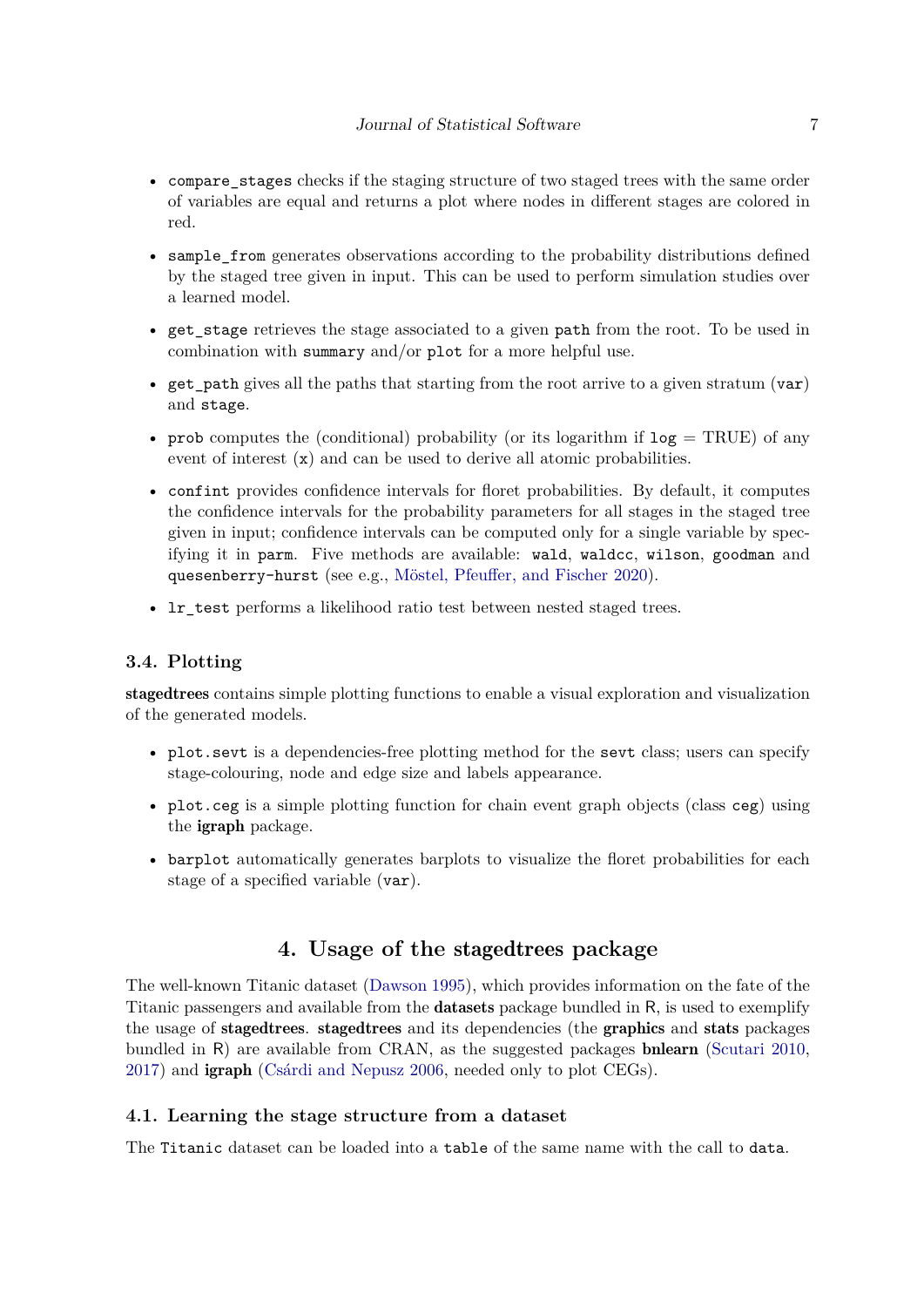- compare stages checks if the staging structure of two staged trees with the same order of variables are equal and returns a plot where nodes in different stages are colored in red.
- sample from generates observations according to the probability distributions defined by the staged tree given in input. This can be used to perform simulation studies over a learned model.
- get\_stage retrieves the stage associated to a given path from the root. To be used in combination with summary and/or plot for a more helpful use.
- get path gives all the paths that starting from the root arrive to a given stratum (var) and stage.
- prob computes the (conditional) probability (or its logarithm if  $log = TRUE$ ) of any event of interest (x) and can be used to derive all atomic probabilities.
- confint provides confidence intervals for floret probabilities. By default, it computes the confidence intervals for the probability parameters for all stages in the staged tree given in input; confidence intervals can be computed only for a single variable by specifying it in parm. Five methods are available: wald, waldcc, wilson, goodman and quesenberry-hurst (see e.g., [Möstel, Pfeuffer, and Fischer](#page-27-9) [2020\)](#page-27-9).
- lr\_test performs a likelihood ratio test between nested staged trees.

#### **3.4. Plotting**

stagedtrees contains simple plotting functions to enable a visual exploration and visualization of the generated models.

- plot. sevt is a dependencies-free plotting method for the sevt class; users can specify stage-colouring, node and edge size and labels appearance.
- plot.ceg is a simple plotting function for chain event graph objects (class ceg) using the igraph package.
- barplot automatically generates barplots to visualize the floret probabilities for each stage of a specified variable (var).

# **4. Usage of the** stagedtrees **package**

The well-known Titanic dataset [\(Dawson](#page-26-10) [1995\)](#page-26-10), which provides information on the fate of the Titanic passengers and available from the datasets package bundled in R, is used to exemplify the usage of stagedtrees. stagedtrees and its dependencies (the graphics and stats packages bundled in R) are available from CRAN, as the suggested packages bnlearn [\(Scutari](#page-27-1) [2010,](#page-27-1) [2017\)](#page-27-2) and igraph [\(Csárdi and Nepusz](#page-25-9) [2006,](#page-25-9) needed only to plot CEGs).

#### **4.1. Learning the stage structure from a dataset**

The Titanic dataset can be loaded into a table of the same name with the call to data.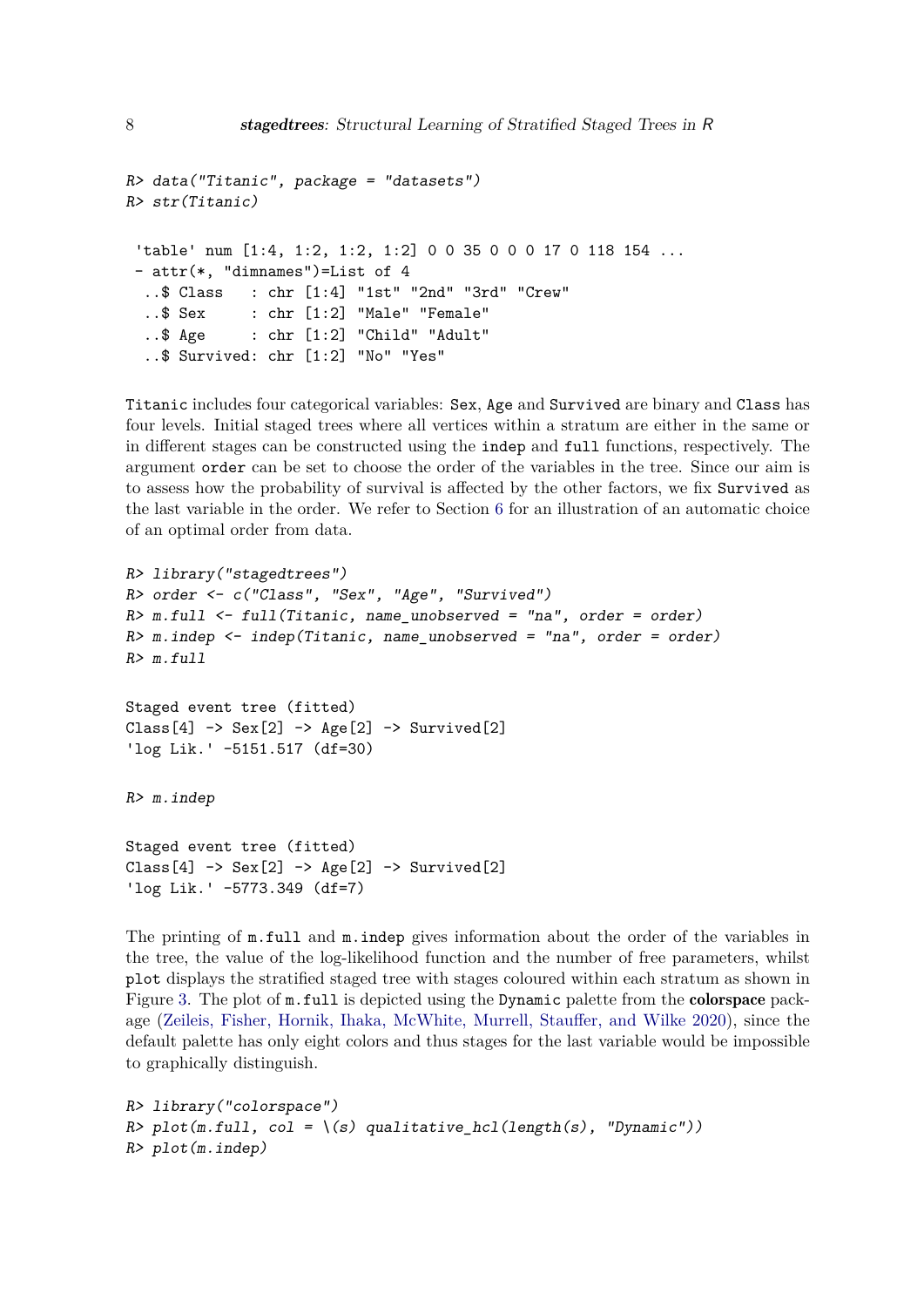```
R> data("Titanic", package = "datasets")
R> str(Titanic)
 'table' num [1:4, 1:2, 1:2, 1:2] 0 0 35 0 0 0 17 0 118 154 ...
- attr(*, "dimnames")=List of 4
  ..$ Class : chr [1:4] "1st" "2nd" "3rd" "Crew"
  ..$ Sex : chr [1:2] "Male" "Female"
  ..$ Age : chr [1:2] "Child" "Adult"
  ..$ Survived: chr [1:2] "No" "Yes"
```
Titanic includes four categorical variables: Sex, Age and Survived are binary and Class has four levels. Initial staged trees where all vertices within a stratum are either in the same or in different stages can be constructed using the indep and full functions, respectively. The argument order can be set to choose the order of the variables in the tree. Since our aim is to assess how the probability of survival is affected by the other factors, we fix Survived as the last variable in the order. We refer to Section [6](#page-20-0) for an illustration of an automatic choice of an optimal order from data.

```
R> library("stagedtrees")
R> order <- c("Class", "Sex", "Age", "Survived")
R> m.full <- full(Titanic, name_unobserved = "na", order = order)
R > m.indep \le indep(Titanic, name_unobserved = "na", order = order)
R> m.full
Staged event tree (fitted)
Class[4] \rightarrow Sex[2] \rightarrow Age[2] \rightarrow Survived[2]
'log Lik.' -5151.517 (df=30)
R> m.indep
Staged event tree (fitted)
Class[4] \rightarrow Sex[2] \rightarrow Age[2] \rightarrow Survived[2]
'log Lik.' -5773.349 (df=7)
```
The printing of m.full and m.indep gives information about the order of the variables in the tree, the value of the log-likelihood function and the number of free parameters, whilst plot displays the stratified staged tree with stages coloured within each stratum as shown in Figure [3.](#page-8-0) The plot of  $m$ . full is depicted using the Dynamic palette from the **colorspace** package [\(Zeileis, Fisher, Hornik, Ihaka, McWhite, Murrell, Stauffer, and Wilke](#page-28-8) [2020\)](#page-28-8), since the default palette has only eight colors and thus stages for the last variable would be impossible to graphically distinguish.

```
R> library("colorspace")
R> plot(m-full, col = \{(s) qualitative_hcl(length(s), "Dynamic"))R> plot(m.indep)
```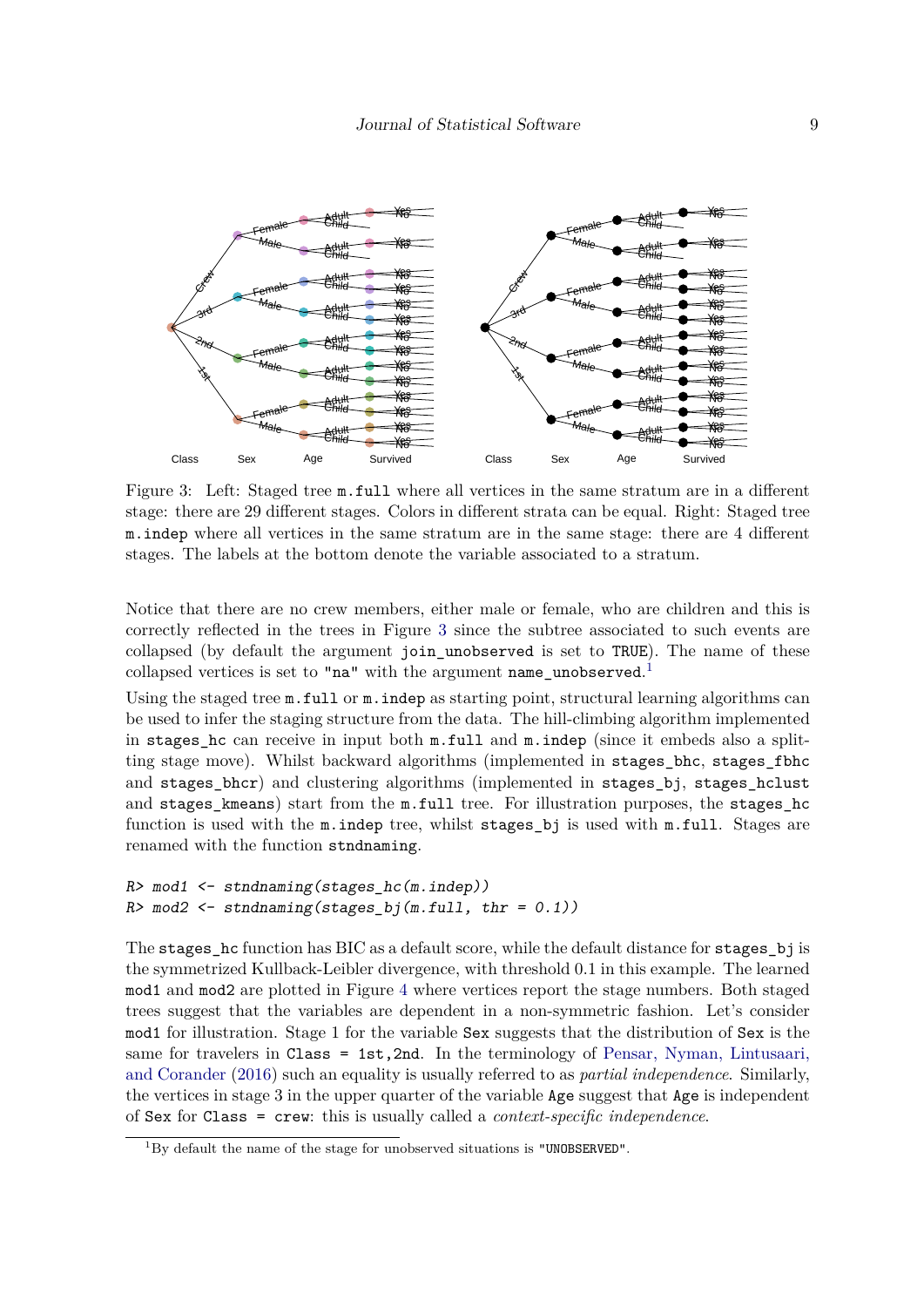<span id="page-8-0"></span>

Figure 3: Left: Staged tree m.full where all vertices in the same stratum are in a different stage: there are 29 different stages. Colors in different strata can be equal. Right: Staged tree m.indep where all vertices in the same stratum are in the same stage: there are 4 different stages. The labels at the bottom denote the variable associated to a stratum.

Notice that there are no crew members, either male or female, who are children and this is correctly reflected in the trees in Figure [3](#page-8-0) since the subtree associated to such events are collapsed (by default the argument join\_unobserved is set to TRUE). The name of these collapsed vertices is set to "na" with the argument name\_unobserved.<sup>[1](#page-8-1)</sup>

Using the staged tree  $m$ . full or  $m$ . indep as starting point, structural learning algorithms can be used to infer the staging structure from the data. The hill-climbing algorithm implemented in stages hc can receive in input both  $m$ .full and  $m$ .indep (since it embeds also a splitting stage move). Whilst backward algorithms (implemented in stages\_bhc, stages\_fbhc and stages\_bhcr) and clustering algorithms (implemented in stages\_bj, stages\_hclust and stages\_kmeans) start from the m.full tree. For illustration purposes, the stages\_hc function is used with the m.indep tree, whilst stages bj is used with m.full. Stages are renamed with the function stndnaming.

```
R> mod1 <- stndnaming(stages_hc(m.indep))
R> mod2 <- stndnaming(stages_bj(m.full, thr = 0.1))
```
The stages hc function has BIC as a default score, while the default distance for stages bj is the symmetrized Kullback-Leibler divergence, with threshold 0*.*1 in this example. The learned mod1 and mod2 are plotted in Figure [4](#page-9-0) where vertices report the stage numbers. Both staged trees suggest that the variables are dependent in a non-symmetric fashion. Let's consider mod1 for illustration. Stage 1 for the variable Sex suggests that the distribution of Sex is the same for travelers in Class = 1st,2nd. In the terminology of [Pensar, Nyman, Lintusaari,](#page-27-10) [and Corander](#page-27-10) [\(2016\)](#page-27-10) such an equality is usually referred to as *partial independence*. Similarly, the vertices in stage 3 in the upper quarter of the variable Age suggest that Age is independent of Sex for Class = crew: this is usually called a *context-specific independence*.

<span id="page-8-1"></span> ${}^{1}$ By default the name of the stage for unobserved situations is "UNOBSERVED".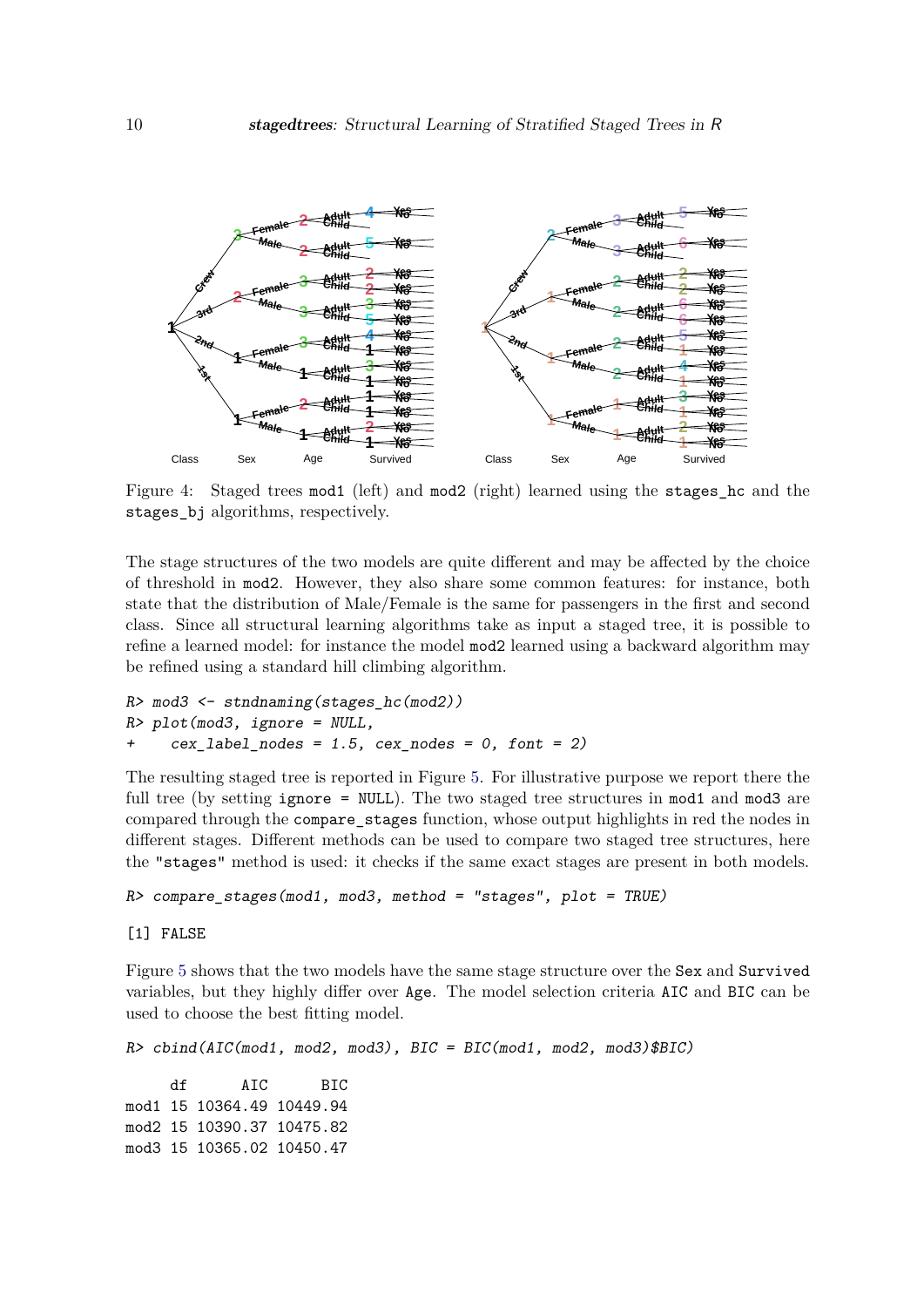<span id="page-9-0"></span>

Figure 4: Staged trees mod1 (left) and mod2 (right) learned using the stages hc and the stages\_bj algorithms, respectively.

The stage structures of the two models are quite different and may be affected by the choice of threshold in mod2. However, they also share some common features: for instance, both state that the distribution of Male/Female is the same for passengers in the first and second class. Since all structural learning algorithms take as input a staged tree, it is possible to refine a learned model: for instance the model mod2 learned using a backward algorithm may be refined using a standard hill climbing algorithm.

```
R> mod3 <- stndnaming(stages_hc(mod2))
R> plot(mod3, ignore = NULL,
+ cex_1 = 1.5, cex_1 = 0, font = 2)
```
The resulting staged tree is reported in Figure [5.](#page-10-0) For illustrative purpose we report there the full tree (by setting ignore = NULL). The two staged tree structures in mod1 and mod3 are compared through the compare\_stages function, whose output highlights in red the nodes in different stages. Different methods can be used to compare two staged tree structures, here the "stages" method is used: it checks if the same exact stages are present in both models.

```
R> compare_stages(mod1, mod3, method = "stages", plot = TRUE)
```
[1] FALSE

Figure [5](#page-10-0) shows that the two models have the same stage structure over the Sex and Survived variables, but they highly differ over Age. The model selection criteria AIC and BIC can be used to choose the best fitting model.

```
R> cbind(AIC(mod1, mod2, mod3), BIC = BIC(mod1, mod2, mod3)$BIC)
    df AIC BIC
mod1 15 10364.49 10449.94
mod2 15 10390.37 10475.82
```
mod3 15 10365.02 10450.47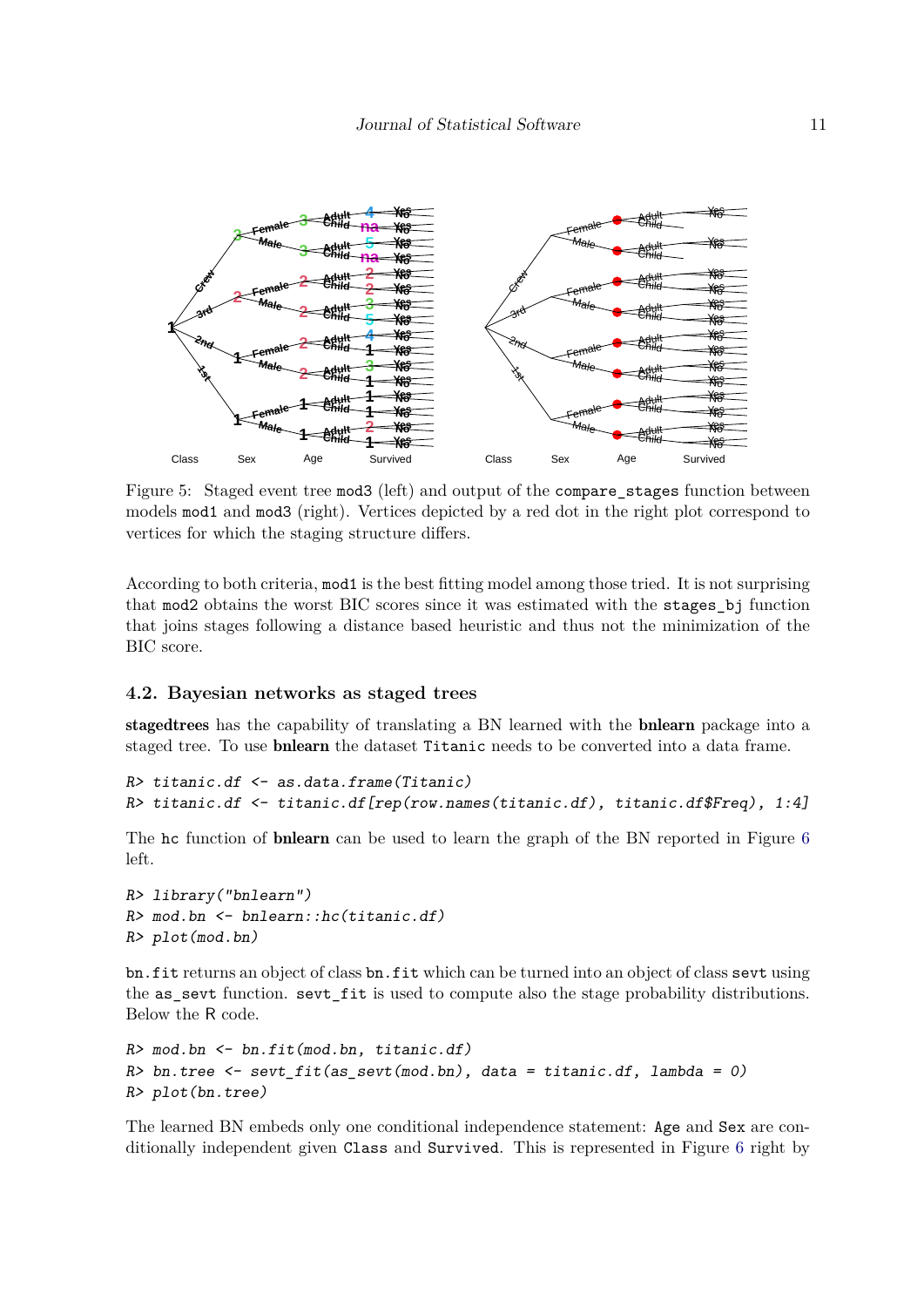<span id="page-10-0"></span>

Figure 5: Staged event tree mod3 (left) and output of the compare stages function between models mod1 and mod3 (right). Vertices depicted by a red dot in the right plot correspond to vertices for which the staging structure differs.

According to both criteria, mod1 is the best fitting model among those tried. It is not surprising that mod2 obtains the worst BIC scores since it was estimated with the stages\_bj function that joins stages following a distance based heuristic and thus not the minimization of the BIC score.

#### **4.2. Bayesian networks as staged trees**

stagedtrees has the capability of translating a BN learned with the bnlearn package into a staged tree. To use bnlearn the dataset Titanic needs to be converted into a data frame.

```
R> titanic.df <- as.data.frame(Titanic)
R> titanic.df <- titanic.df[rep(row.names(titanic.df), titanic.df$Freq), 1:4]
```
The hc function of **bnlearn** can be used to learn the graph of the BN reported in Figure [6](#page-11-0) left.

```
R> library("bnlearn")
R> mod.bn <- bnlearn::hc(titanic.df)
R> plot(mod.bn)
```
bn.fit returns an object of class bn.fit which can be turned into an object of class sevt using the as\_sevt function. sevt\_fit is used to compute also the stage probability distributions. Below the R code.

```
R> mod.bn <- bn.fit(mod.bn, titanic.df)
R> bn.tree <- sevt_fit(as_sevt(mod.bn), data = titanic.df, lambda = 0)
R> plot(bn.tree)
```
The learned BN embeds only one conditional independence statement: Age and Sex are conditionally independent given Class and Survived. This is represented in Figure [6](#page-11-0) right by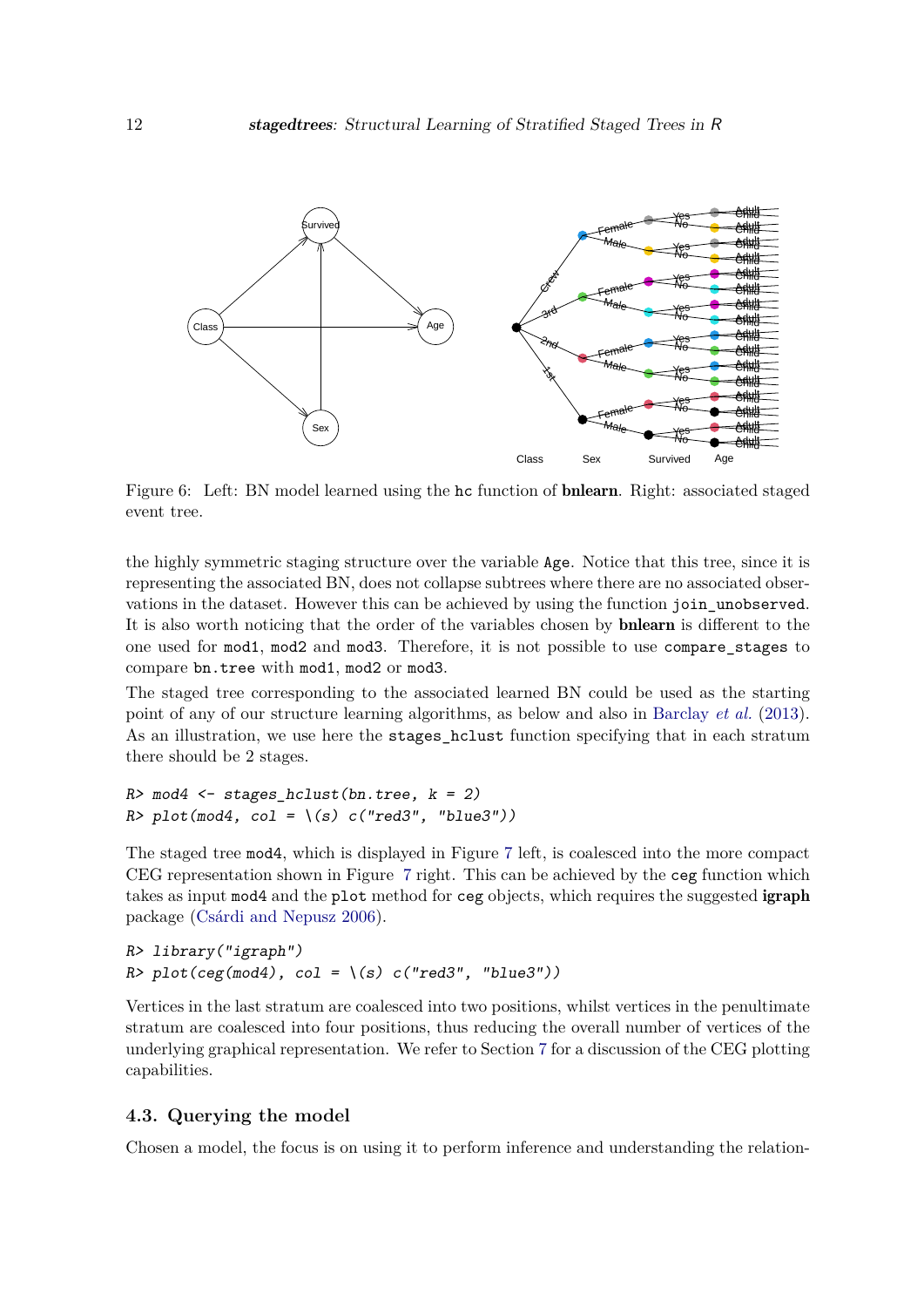<span id="page-11-0"></span>

Figure 6: Left: BN model learned using the hc function of bnlearn. Right: associated staged event tree.

the highly symmetric staging structure over the variable Age. Notice that this tree, since it is representing the associated BN, does not collapse subtrees where there are no associated observations in the dataset. However this can be achieved by using the function join\_unobserved. It is also worth noticing that the order of the variables chosen by bnlearn is different to the one used for mod1, mod2 and mod3. Therefore, it is not possible to use compare\_stages to compare bn.tree with mod1, mod2 or mod3.

The staged tree corresponding to the associated learned BN could be used as the starting point of any of our structure learning algorithms, as below and also in [Barclay](#page-25-3) *et al.* [\(2013\)](#page-25-3). As an illustration, we use here the stages hclust function specifying that in each stratum there should be 2 stages.

```
R> mod4 <- stages hclust(bn.tree, k = 2)
R > plot(mod4, col = \{(s) c("red3", "blue3")\}
```
The staged tree mod4, which is displayed in Figure [7](#page-12-0) left, is coalesced into the more compact CEG representation shown in Figure [7](#page-12-0) right. This can be achieved by the ceg function which takes as input mod4 and the plot method for ceg objects, which requires the suggested igraph package [\(Csárdi and Nepusz](#page-25-9) [2006\)](#page-25-9).

```
R> library("igraph")
R> plot(ceg(mod4), col = \(s) c("red3", "blue3"))
```
Vertices in the last stratum are coalesced into two positions, whilst vertices in the penultimate stratum are coalesced into four positions, thus reducing the overall number of vertices of the underlying graphical representation. We refer to Section [7](#page-24-0) for a discussion of the CEG plotting capabilities.

#### **4.3. Querying the model**

Chosen a model, the focus is on using it to perform inference and understanding the relation-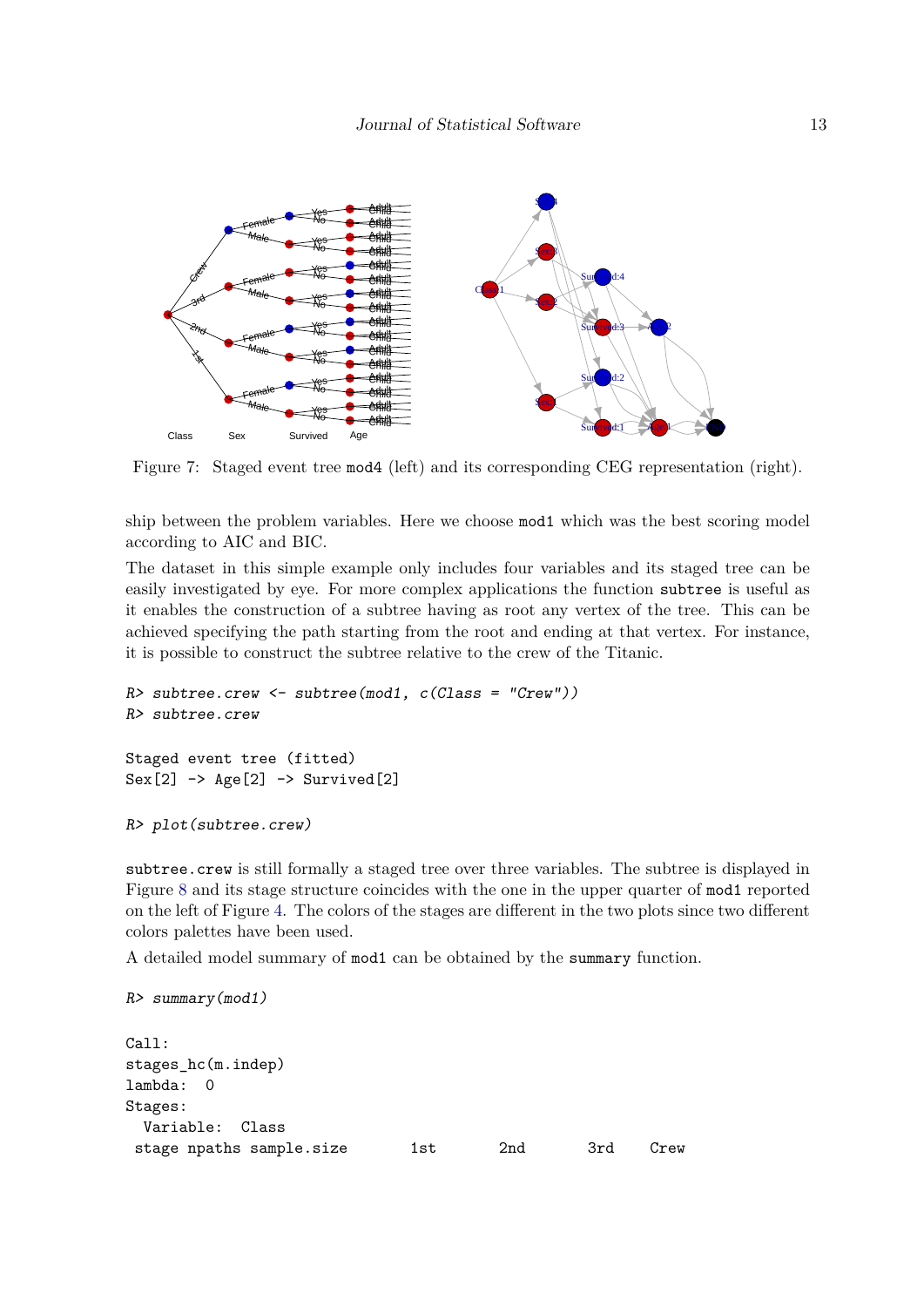<span id="page-12-0"></span>

Figure 7: Staged event tree mod4 (left) and its corresponding CEG representation (right).

ship between the problem variables. Here we choose mod1 which was the best scoring model according to AIC and BIC.

The dataset in this simple example only includes four variables and its staged tree can be easily investigated by eye. For more complex applications the function subtree is useful as it enables the construction of a subtree having as root any vertex of the tree. This can be achieved specifying the path starting from the root and ending at that vertex. For instance, it is possible to construct the subtree relative to the crew of the Titanic.

```
R> subtree.crew <- subtree(mod1, c(Class = "Crew"))
R> subtree.crew
Staged event tree (fitted)
Sex[2] -> Age[2] -> Survived[2]
```

```
R> plot(subtree.crew)
```
subtree.crew is still formally a staged tree over three variables. The subtree is displayed in Figure [8](#page-13-0) and its stage structure coincides with the one in the upper quarter of mod1 reported on the left of Figure [4.](#page-9-0) The colors of the stages are different in the two plots since two different colors palettes have been used.

A detailed model summary of mod1 can be obtained by the summary function.

R> summary(mod1)

```
Call:
stages_hc(m.indep)
lambda: 0
Stages:
 Variable: Class
stage npaths sample.size 1st 2nd 3rd Crew
```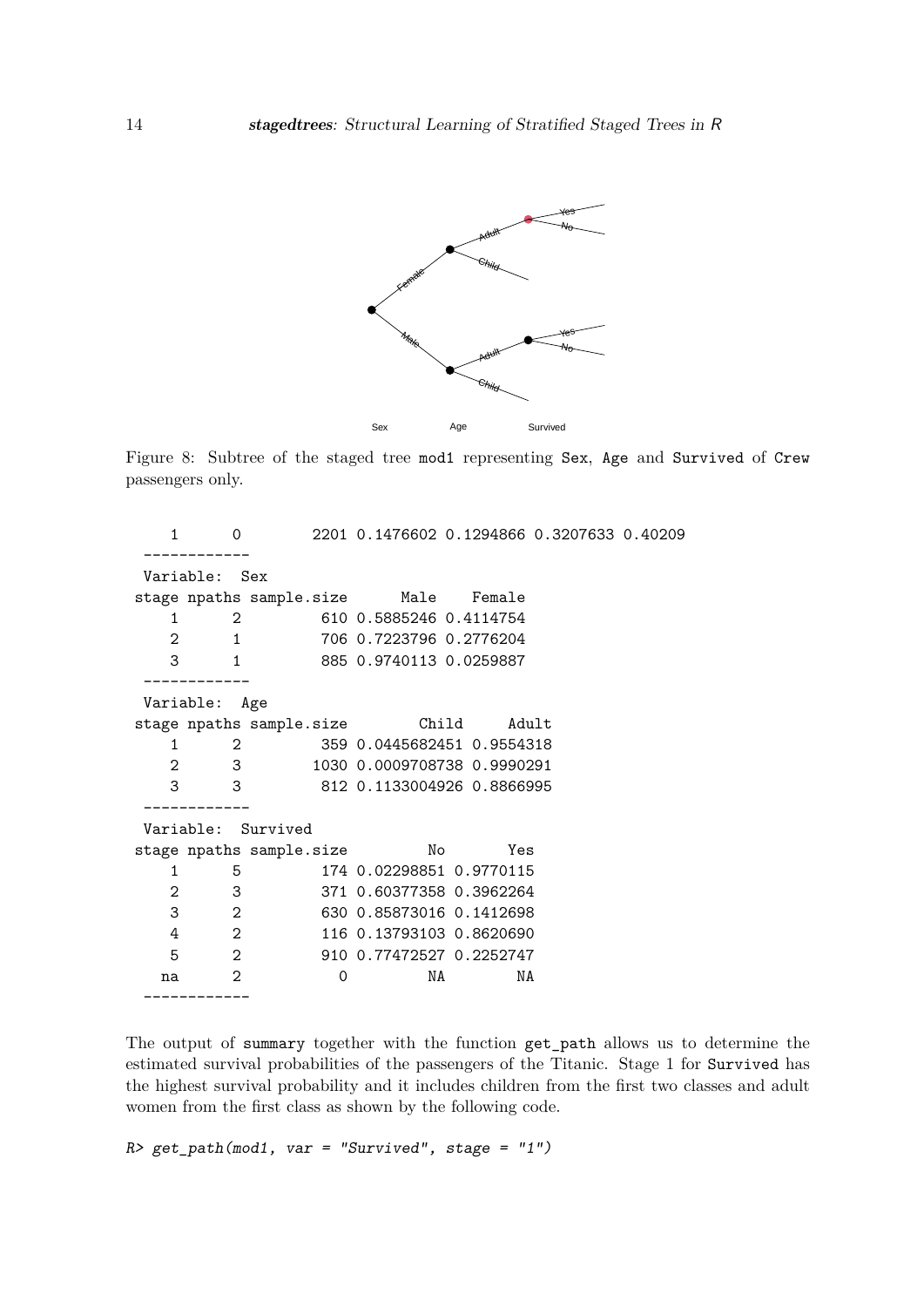<span id="page-13-0"></span>

Figure 8: Subtree of the staged tree mod1 representing Sex, Age and Survived of Crew passengers only.

| 1  | 0              |                                      | 2201 0.1476602 0.1294866 0.3207633 0.40209 |           |  |
|----|----------------|--------------------------------------|--------------------------------------------|-----------|--|
|    | Variable: Sex  |                                      |                                            |           |  |
|    |                |                                      |                                            |           |  |
|    |                | stage npaths sample.size Male Female |                                            |           |  |
| 1  | $\overline{2}$ |                                      | 610 0.5885246 0.4114754                    |           |  |
| 2  |                | $1 \quad$                            | 706 0.7223796 0.2776204                    |           |  |
| 3  |                | $1 \quad$                            | 885 0.9740113 0.0259887                    |           |  |
|    |                |                                      |                                            |           |  |
|    | Variable:      | Age                                  |                                            |           |  |
|    |                | stage npaths sample.size Child       |                                            | Adult     |  |
| 1  | $\overline{2}$ |                                      | 359 0.0445682451 0.9554318                 |           |  |
| 2  |                | 3                                    | 1030 0.0009708738 0.9990291                |           |  |
| 3  | 3              |                                      | 812 0.1133004926 0.8866995                 |           |  |
|    |                |                                      |                                            |           |  |
|    |                | Variable: Survived                   |                                            |           |  |
|    |                | stage npaths sample.size             |                                            | No<br>Yes |  |
| 1  | 5              |                                      | 174 0.02298851 0.9770115                   |           |  |
| 2  | 3              |                                      | 371 0.60377358 0.3962264                   |           |  |
| 3  | $\overline{2}$ |                                      | 630 0.85873016 0.1412698                   |           |  |
| 4  | $\overline{2}$ |                                      | 116 0.13793103 0.8620690                   |           |  |
| 5  | 2              |                                      | 910 0.77472527 0.2252747                   |           |  |
| na | 2              | 0                                    | NA                                         | NA        |  |
|    | -----------    |                                      |                                            |           |  |

The output of summary together with the function get\_path allows us to determine the estimated survival probabilities of the passengers of the Titanic. Stage 1 for Survived has the highest survival probability and it includes children from the first two classes and adult women from the first class as shown by the following code.

 $R$ > get\_path(mod1, var = "Survived", stage = "1")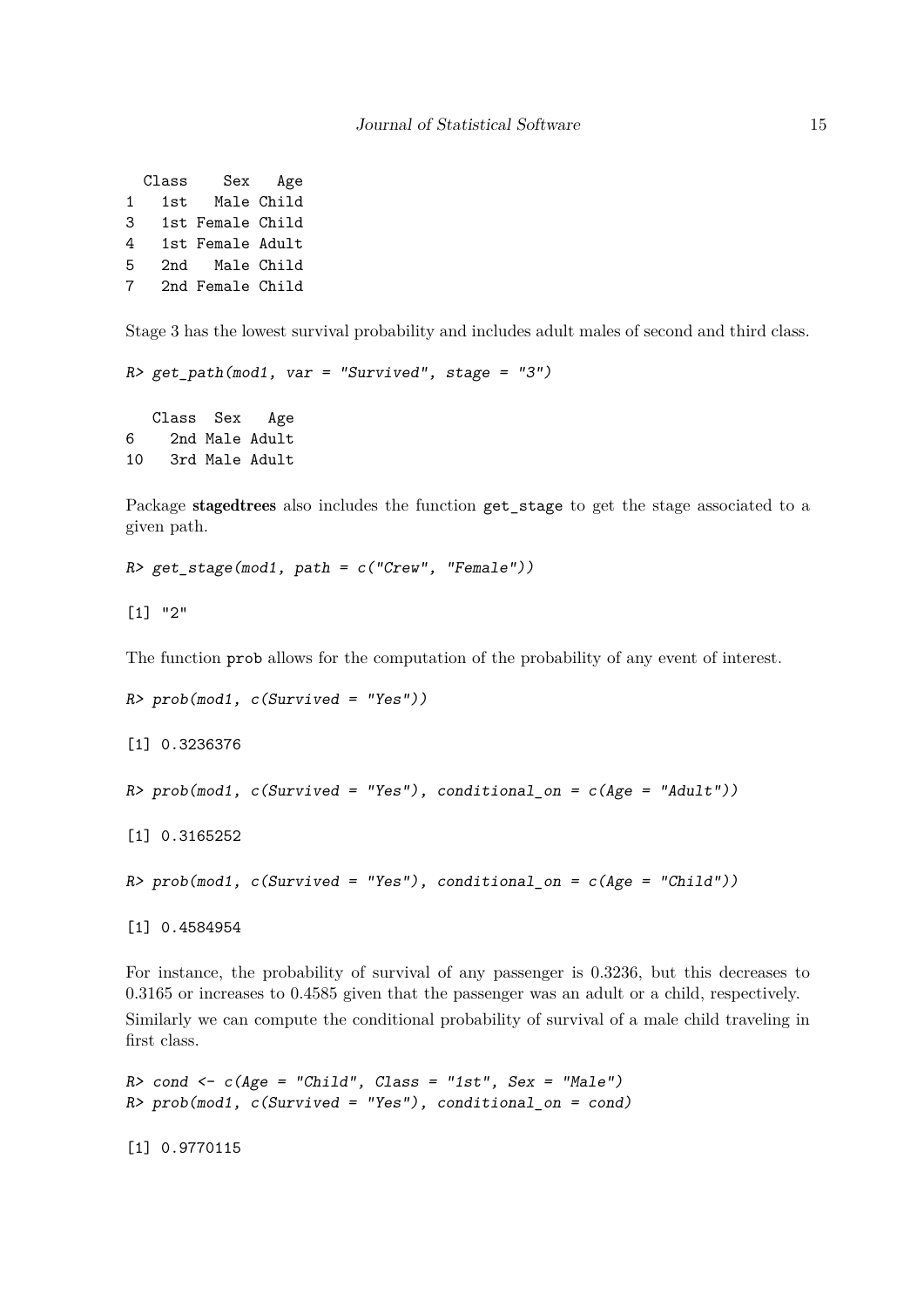Class Sex Age 1 1st Male Child 3 1st Female Child 4 1st Female Adult 5 2nd Male Child 7 2nd Female Child

Stage 3 has the lowest survival probability and includes adult males of second and third class.

 $R > get path(mod1, var = "Survived", stage = "3")$ 

Class Sex Age 6 2nd Male Adult 10 3rd Male Adult

Package staged trees also includes the function get\_stage to get the stage associated to a given path.

 $R > get\_stage(mod1, path = c("Crew", "Female"))$ 

[1] "2"

The function prob allows for the computation of the probability of any event of interest.

```
R>prob(mod1, c(Survived = "Yes"))[1] 0.3236376
R> prob(mod1, c(Survived = "Yes"), conditional_on = c(Age = "Adult"))
[1] 0.3165252
R> prob(mod1, c(Survived = "Yes"), conditional_on = c(Age = "Child"))
[1] 0.4584954
```
For instance, the probability of survival of any passenger is 0.3236, but this decreases to 0.3165 or increases to 0.4585 given that the passenger was an adult or a child, respectively. Similarly we can compute the conditional probability of survival of a male child traveling in first class.

```
R cond \leq c(Age = "Child", Class = "1st", Sex = "Male")
R> prob(mod1, c(Survived = "Yes"), conditional_on = cond)
```
[1] 0.9770115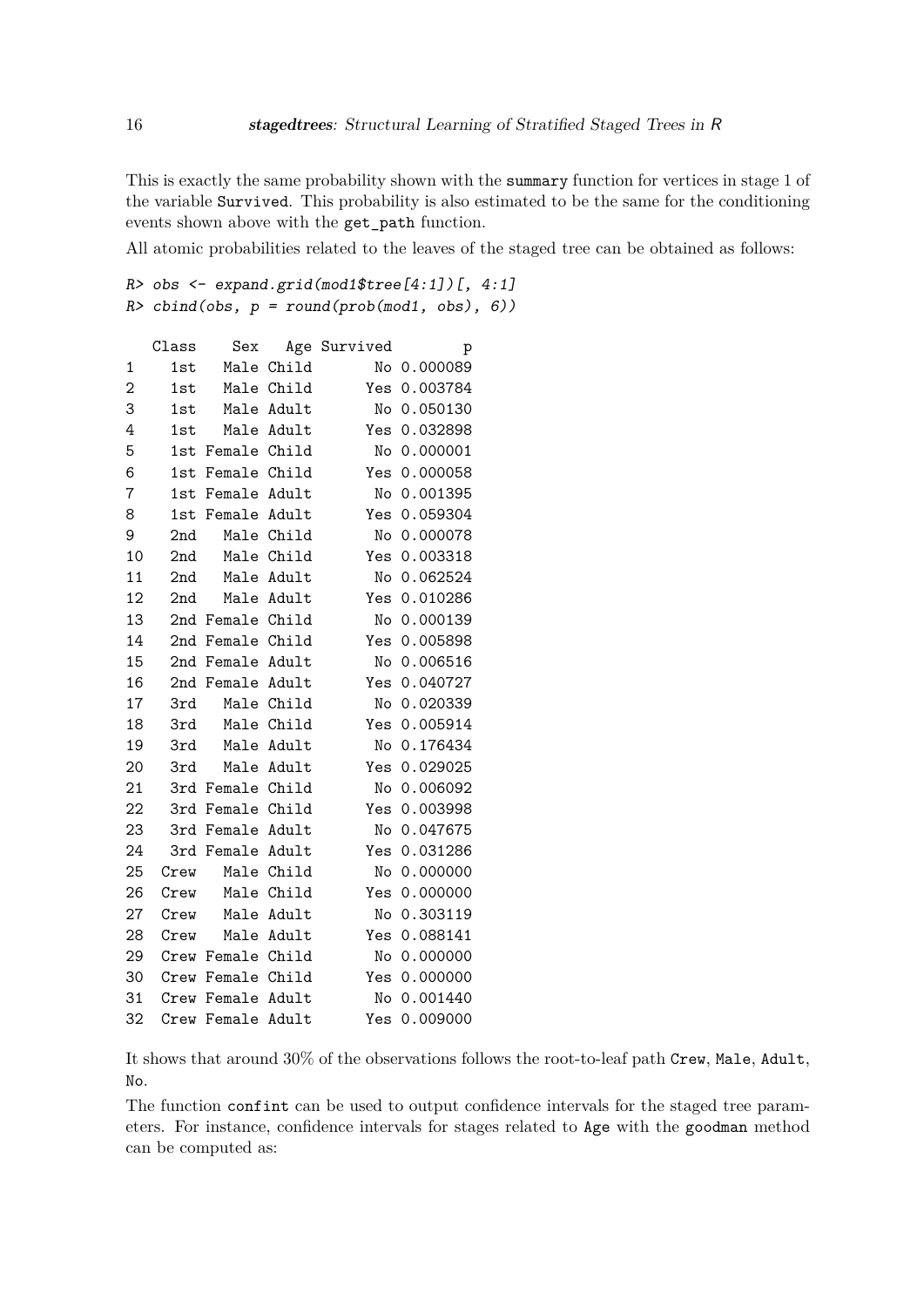This is exactly the same probability shown with the summary function for vertices in stage 1 of the variable Survived. This probability is also estimated to be the same for the conditioning events shown above with the get\_path function.

All atomic probabilities related to the leaves of the staged tree can be obtained as follows:

```
R> obs <- expand.grid(mod1$tree[4:1])[, 4:1]
R> \text{cbind}(\text{obs}, p = \text{round}(\text{prob}(\text{mod}1, \text{obs}), \theta))
```

|    | Class | Sex               |            | Age Survived | p            |
|----|-------|-------------------|------------|--------------|--------------|
| 1  | 1st   | Male              | Child      | No           | 0.000089     |
| 2  | 1st   |                   | Male Child | Yes          | 0.003784     |
| 3  | 1st   |                   | Male Adult | No           | 0.050130     |
| 4  | 1st   |                   | Male Adult |              | Yes 0.032898 |
| 5  | 1st   | Female Child      |            | No           | 0.000001     |
| 6  | 1st   | Female Child      |            | Yes          | 0.000058     |
| 7  |       | 1st Female Adult  |            | No           | 0.001395     |
| 8  |       | 1st Female Adult  |            |              | Yes 0.059304 |
| 9  | 2nd   |                   | Male Child | No           | 0.000078     |
| 10 | 2nd   |                   | Male Child | Yes          | 0.003318     |
| 11 | 2nd   |                   | Male Adult |              | No 0.062524  |
| 12 | 2nd   |                   | Male Adult | Yes          | 0.010286     |
| 13 |       | 2nd Female Child  |            | No           | 0.000139     |
| 14 |       | 2nd Female Child  |            |              | Yes 0.005898 |
| 15 |       | 2nd Female Adult  |            | No           | 0.006516     |
| 16 |       | 2nd Female        | Adult      | Yes          | 0.040727     |
| 17 | 3rd   |                   | Male Child | No           | 0.020339     |
| 18 | 3rd   |                   | Male Child |              | Yes 0.005914 |
| 19 | 3rd   | Male              | Adult      | No           | 0.176434     |
| 20 | 3rd   |                   | Male Adult | Yes          | 0.029025     |
| 21 |       | 3rd Female Child  |            |              | No 0.006092  |
| 22 |       | 3rd Female Child  |            | Yes          | 0.003998     |
| 23 | 3rd   | Female            | Adult      | No           | 0.047675     |
| 24 |       | 3rd Female Adult  |            | Yes          | 0.031286     |
| 25 | Crew  |                   | Male Child |              | No 0.000000  |
| 26 | Crew  |                   | Male Child | Yes          | 0.000000     |
| 27 | Crew  |                   | Male Adult | No           | 0.303119     |
| 28 | Crew  |                   | Male Adult |              | Yes 0.088141 |
| 29 |       | Crew Female Child |            | No           | 0.000000     |
| 30 |       | Crew Female Child |            | Yes          | 0.000000     |
| 31 |       | Crew Female Adult |            | No           | 0.001440     |
| 32 | Crew  | Female Adult      |            |              | Yes 0.009000 |

It shows that around 30% of the observations follows the root-to-leaf path Crew, Male, Adult, No.

The function confint can be used to output confidence intervals for the staged tree parameters. For instance, confidence intervals for stages related to Age with the goodman method can be computed as: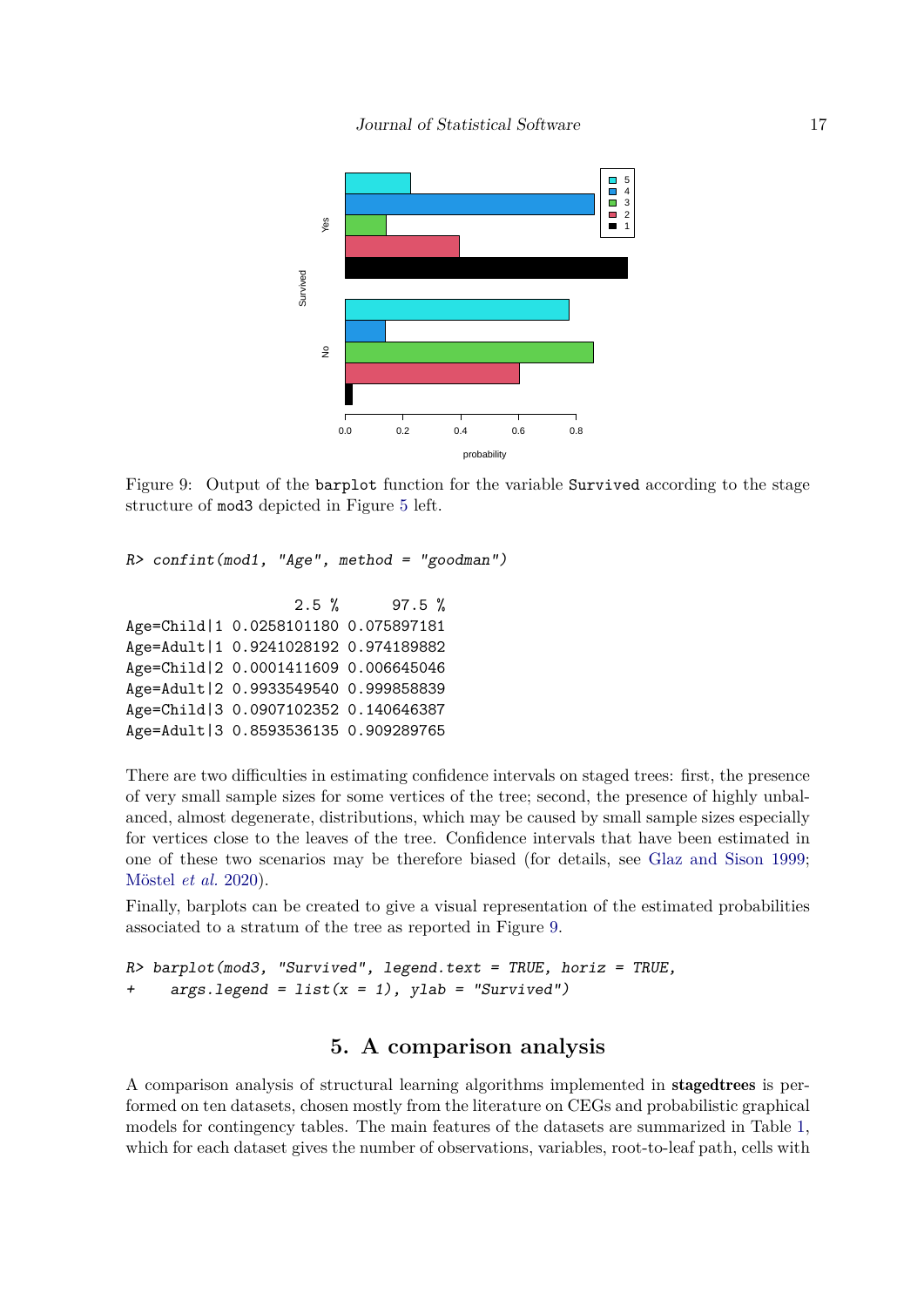<span id="page-16-0"></span>

Figure 9: Output of the barplot function for the variable Survived according to the stage structure of mod3 depicted in Figure [5](#page-10-0) left.

```
R> confint(mod1, "Age", method = "goodman")
```
2.5 % 97.5 % Age=Child|1 0.0258101180 0.075897181 Age=Adult|1 0.9241028192 0.974189882 Age=Child|2 0.0001411609 0.006645046 Age=Adult|2 0.9933549540 0.999858839 Age=Child|3 0.0907102352 0.140646387 Age=Adult|3 0.8593536135 0.909289765

There are two difficulties in estimating confidence intervals on staged trees: first, the presence of very small sample sizes for some vertices of the tree; second, the presence of highly unbalanced, almost degenerate, distributions, which may be caused by small sample sizes especially for vertices close to the leaves of the tree. Confidence intervals that have been estimated in one of these two scenarios may be therefore biased (for details, see [Glaz and Sison](#page-26-11) [1999;](#page-26-11) [Möstel](#page-27-9) *et al.* [2020\)](#page-27-9).

Finally, barplots can be created to give a visual representation of the estimated probabilities associated to a stratum of the tree as reported in Figure [9.](#page-16-0)

```
R> barplot(mod3, "Survived", legend.text = TRUE, horiz = TRUE,
     args.length = list(x = 1), ylab = "Survived")
```
# **5. A comparison analysis**

<span id="page-16-1"></span>A comparison analysis of structural learning algorithms implemented in stagedtrees is performed on ten datasets, chosen mostly from the literature on CEGs and probabilistic graphical models for contingency tables. The main features of the datasets are summarized in Table [1,](#page-17-0) which for each dataset gives the number of observations, variables, root-to-leaf path, cells with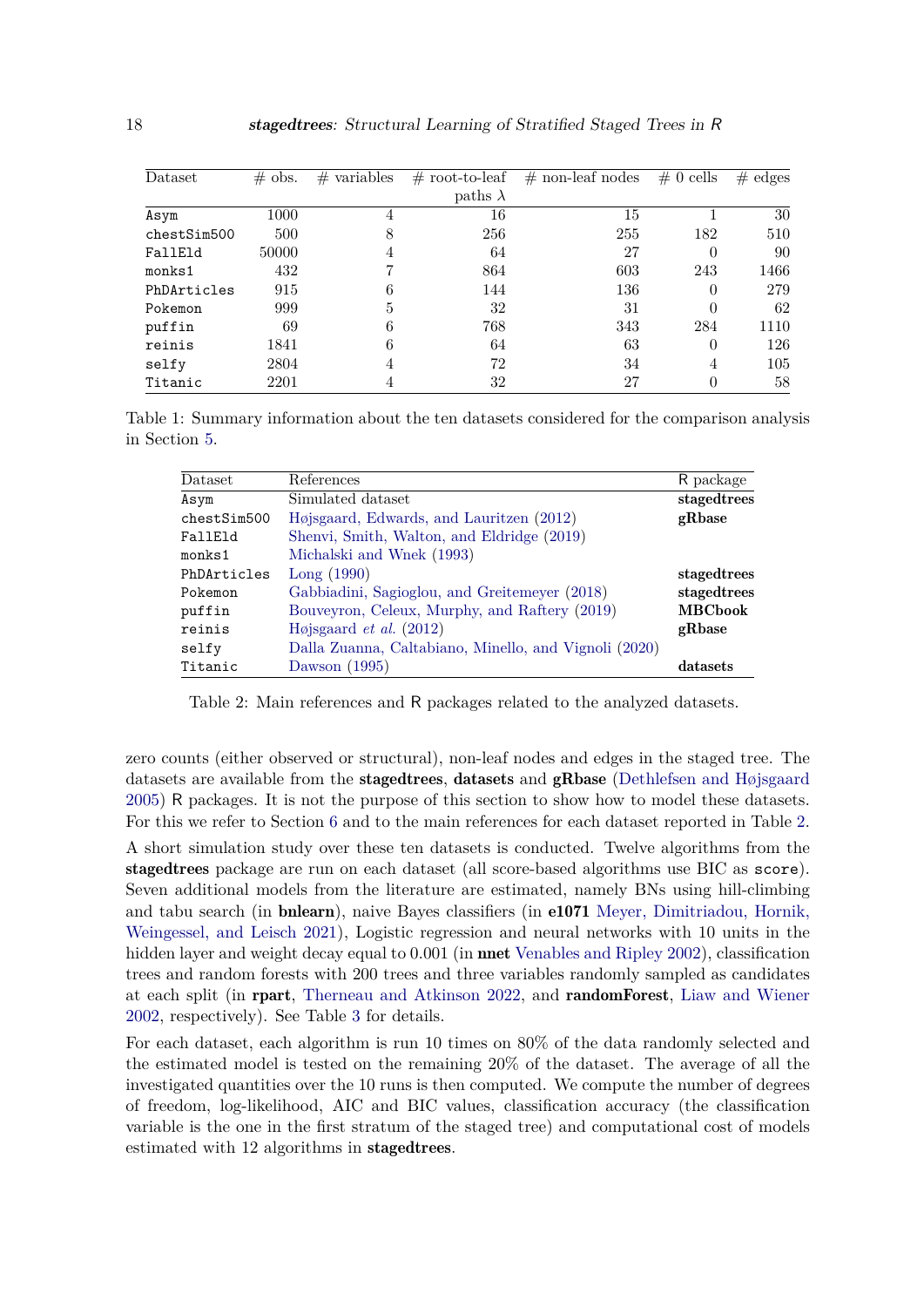<span id="page-17-0"></span>

| Dataset     | #<br>obs. | variables<br># | $#$ root-to-leaf | $#$ non-leaf nodes | $\#0$ cells | #<br>edges |
|-------------|-----------|----------------|------------------|--------------------|-------------|------------|
|             |           |                | paths $\lambda$  |                    |             |            |
| Asym        | 1000      | 4              | 16               | 15                 |             | 30         |
| chestSim500 | 500       | 8              | 256              | 255                | 182         | 510        |
| FallEld     | 50000     | 4              | 64               | 27                 | $\theta$    | 90         |
| monks1      | 432       | 7              | 864              | 603                | 243         | 1466       |
| PhDArticles | 915       | 6              | 144              | 136                | $\Omega$    | 279        |
| Pokemon     | 999       | 5              | 32               | 31                 | 0           | 62         |
| puffin      | 69        | 6              | 768              | 343                | 284         | 1110       |
| reinis      | 1841      | 6              | 64               | 63                 | $\Omega$    | 126        |
| selfy       | 2804      | 4              | 72               | 34                 | 4           | 105        |
| Titanic     | 2201      | 4              | 32               | 27                 | 0           | 58         |

<span id="page-17-1"></span>Table 1: Summary information about the ten datasets considered for the comparison analysis in Section [5.](#page-16-1)

| Dataset     | References                                            | R package      |
|-------------|-------------------------------------------------------|----------------|
| Asym        | Simulated dataset                                     | staged trees   |
| chestSim500 | Højsgaard, Edwards, and Lauritzen (2012)              | gRbase         |
| FallEld     | Shenvi, Smith, Walton, and Eldridge (2019)            |                |
| monks1      | Michalski and Wnek (1993)                             |                |
| PhDArticles | Long(1990)                                            | stagedtrees    |
| Pokemon     | Gabbiadini, Sagioglou, and Greitemeyer (2018)         | stagedtrees    |
| puffin      | Bouveyron, Celeux, Murphy, and Raftery (2019)         | <b>MBCbook</b> |
| reinis      | Højsgaard <i>et al.</i> $(2012)$                      | gRbase         |
| selfy       | Dalla Zuanna, Caltabiano, Minello, and Vignoli (2020) |                |
| Titanic     | Dawson (1995)                                         | datasets       |

Table 2: Main references and R packages related to the analyzed datasets.

zero counts (either observed or structural), non-leaf nodes and edges in the staged tree. The datasets are available from the **stagedtrees, datasets** and **gRbase** [\(Dethlefsen and Højsgaard](#page-26-14) [2005\)](#page-26-14) R packages. It is not the purpose of this section to show how to model these datasets. For this we refer to Section [6](#page-20-0) and to the main references for each dataset reported in Table [2.](#page-17-1) A short simulation study over these ten datasets is conducted. Twelve algorithms from the stagedtrees package are run on each dataset (all score-based algorithms use BIC as score). Seven additional models from the literature are estimated, namely BNs using hill-climbing and tabu search (in bnlearn), naive Bayes classifiers (in e1071 [Meyer, Dimitriadou, Hornik,](#page-27-13) [Weingessel, and Leisch](#page-27-13) [2021\)](#page-27-13), Logistic regression and neural networks with 10 units in the hidden layer and weight decay equal to 0*.*001 (in nnet [Venables and Ripley](#page-28-10) [2002\)](#page-28-10), classification trees and random forests with 200 trees and three variables randomly sampled as candidates at each split (in rpart, [Therneau and Atkinson](#page-28-11) [2022,](#page-28-11) and randomForest, [Liaw and Wiener](#page-27-14) [2002,](#page-27-14) respectively). See Table [3](#page-18-0) for details.

For each dataset, each algorithm is run 10 times on 80% of the data randomly selected and the estimated model is tested on the remaining 20% of the dataset. The average of all the investigated quantities over the 10 runs is then computed. We compute the number of degrees of freedom, log-likelihood, AIC and BIC values, classification accuracy (the classification variable is the one in the first stratum of the staged tree) and computational cost of models estimated with 12 algorithms in stagedtrees.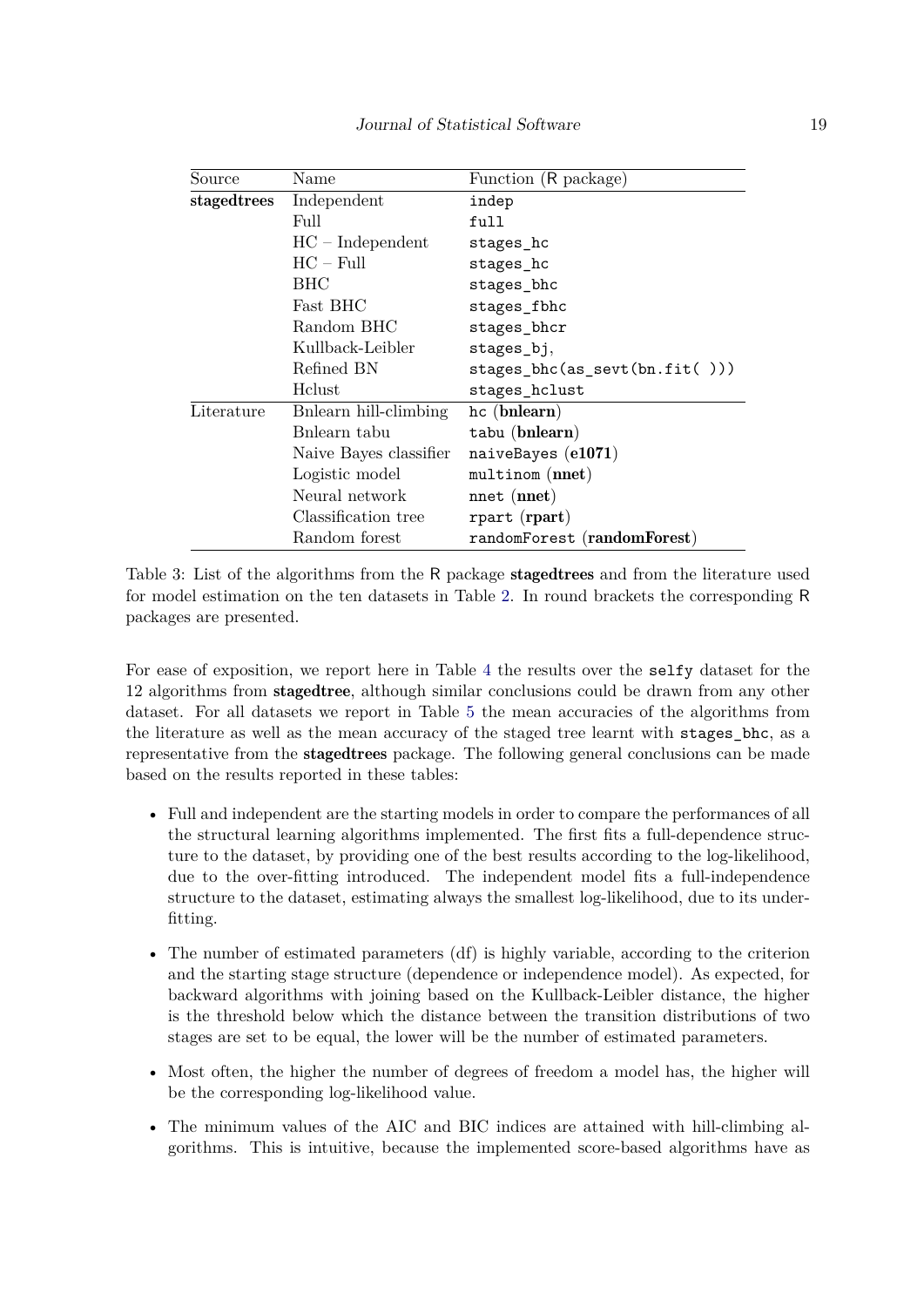<span id="page-18-0"></span>

| Source      | Name                   | Function (R package)          |  |  |
|-------------|------------------------|-------------------------------|--|--|
| stagedtrees | Independent            | indep                         |  |  |
|             | Full                   | full                          |  |  |
|             | $HC$ – Independent     | stages_hc                     |  |  |
|             | $HC - Full$            | stages_hc                     |  |  |
|             | BHC                    | stages_bhc                    |  |  |
|             | Fast BHC               | stages_fbhc                   |  |  |
|             | Random BHC             | stages_bhcr                   |  |  |
|             | Kullback-Leibler       | stages_bj,                    |  |  |
|             | Refined BN             | stages_bhc(as_sevt(bn.fit())) |  |  |
|             | Helust                 | stages_hclust                 |  |  |
| Literature  | Bnlearn hill-climbing  | hc (bnlearn)                  |  |  |
|             | Bnlearn tabu           | tabu (bnlearn)                |  |  |
|             | Naive Bayes classifier | naiveBayes $(e1071)$          |  |  |
|             | Logistic model         | $multinom$ (nnet)             |  |  |
|             | Neural network         | nnet (nnet)                   |  |  |
|             | Classification tree    | rpart (rpart)                 |  |  |
|             | Random forest          | randomForest (randomForest)   |  |  |

Table 3: List of the algorithms from the R package stagedtrees and from the literature used for model estimation on the ten datasets in Table [2.](#page-17-1) In round brackets the corresponding R packages are presented.

For ease of exposition, we report here in Table [4](#page-19-0) the results over the selfy dataset for the 12 algorithms from stagedtree, although similar conclusions could be drawn from any other dataset. For all datasets we report in Table [5](#page-19-1) the mean accuracies of the algorithms from the literature as well as the mean accuracy of the staged tree learnt with stages\_bhc, as a representative from the stagedtrees package. The following general conclusions can be made based on the results reported in these tables:

- Full and independent are the starting models in order to compare the performances of all the structural learning algorithms implemented. The first fits a full-dependence structure to the dataset, by providing one of the best results according to the log-likelihood, due to the over-fitting introduced. The independent model fits a full-independence structure to the dataset, estimating always the smallest log-likelihood, due to its underfitting.
- The number of estimated parameters (df) is highly variable, according to the criterion and the starting stage structure (dependence or independence model). As expected, for backward algorithms with joining based on the Kullback-Leibler distance, the higher is the threshold below which the distance between the transition distributions of two stages are set to be equal, the lower will be the number of estimated parameters.
- Most often, the higher the number of degrees of freedom a model has, the higher will be the corresponding log-likelihood value.
- The minimum values of the AIC and BIC indices are attained with hill-climbing algorithms. This is intuitive, because the implemented score-based algorithms have as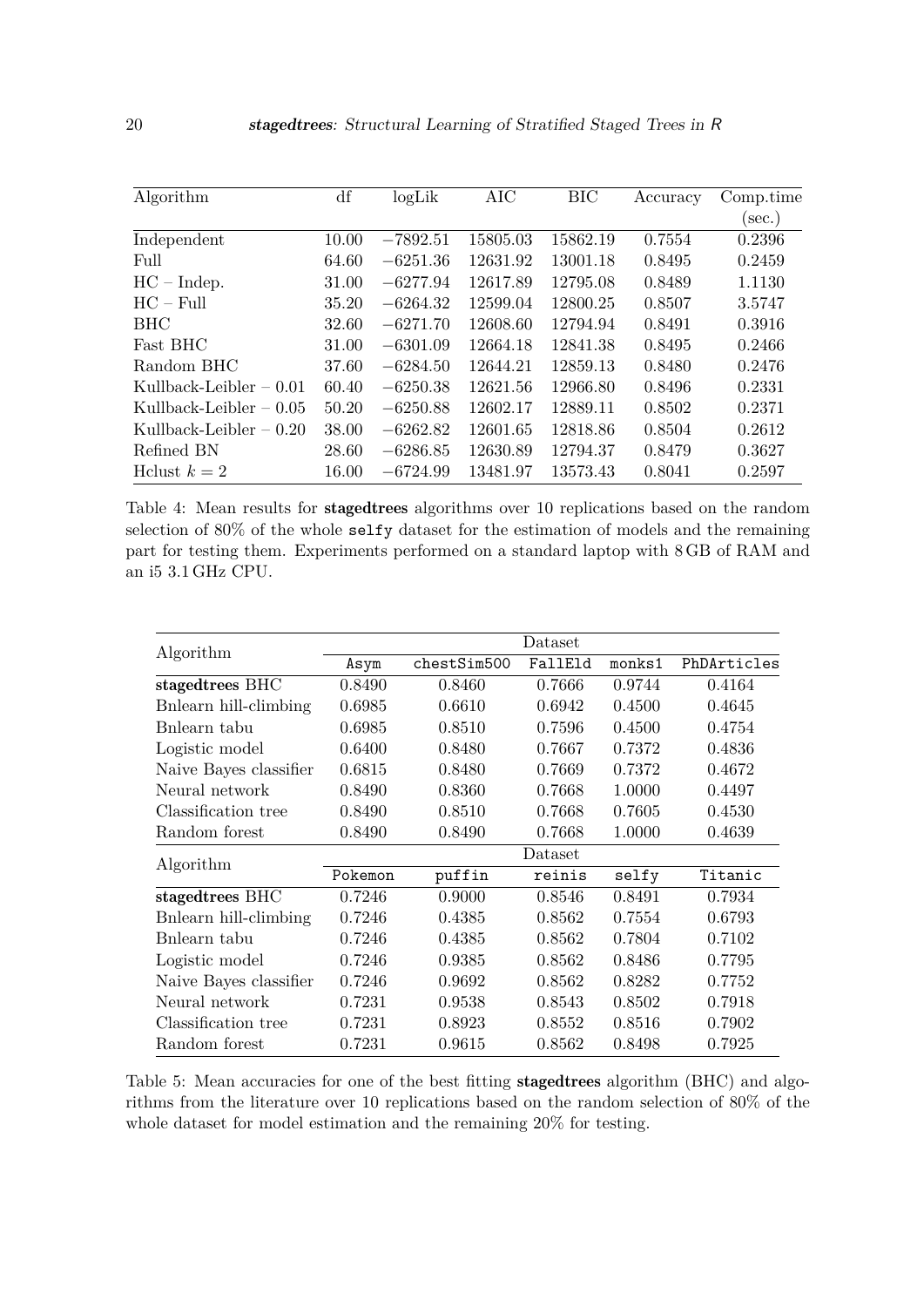<span id="page-19-0"></span>

| Algorithm                | df    | logLik     | AIC      | <b>BIC</b> | Accuracy | Comp.time |
|--------------------------|-------|------------|----------|------------|----------|-----------|
|                          |       |            |          |            |          | $(\sec.)$ |
| Independent              | 10.00 | $-7892.51$ | 15805.03 | 15862.19   | 0.7554   | 0.2396    |
| Full                     | 64.60 | $-6251.36$ | 12631.92 | 13001.18   | 0.8495   | 0.2459    |
| $HC - Indep.$            | 31.00 | $-6277.94$ | 12617.89 | 12795.08   | 0.8489   | 1.1130    |
| $HC - Full$              | 35.20 | $-6264.32$ | 12599.04 | 12800.25   | 0.8507   | 3.5747    |
| <b>BHC</b>               | 32.60 | $-6271.70$ | 12608.60 | 12794.94   | 0.8491   | 0.3916    |
| Fast BHC                 | 31.00 | $-6301.09$ | 12664.18 | 12841.38   | 0.8495   | 0.2466    |
| Random BHC               | 37.60 | $-6284.50$ | 12644.21 | 12859.13   | 0.8480   | 0.2476    |
| Kullback-Leibler $-0.01$ | 60.40 | $-6250.38$ | 12621.56 | 12966.80   | 0.8496   | 0.2331    |
| Kullback-Leibler $-0.05$ | 50.20 | $-6250.88$ | 12602.17 | 12889.11   | 0.8502   | 0.2371    |
| Kullback-Leibler $-0.20$ | 38.00 | $-6262.82$ | 12601.65 | 12818.86   | 0.8504   | 0.2612    |
| Refined BN               | 28.60 | $-6286.85$ | 12630.89 | 12794.37   | 0.8479   | 0.3627    |
| Helust $k=2$             | 16.00 | $-6724.99$ | 13481.97 | 13573.43   | 0.8041   | 0.2597    |

Table 4: Mean results for stagedtrees algorithms over 10 replications based on the random selection of 80% of the whole selfy dataset for the estimation of models and the remaining part for testing them. Experiments performed on a standard laptop with 8 GB of RAM and an i5 3*.*1 GHz CPU.

<span id="page-19-1"></span>

|                        | Dataset |             |         |        |             |  |
|------------------------|---------|-------------|---------|--------|-------------|--|
| Algorithm              | Asym    | chestSim500 | FallEld | monks1 | PhDArticles |  |
| stagedtrees BHC        | 0.8490  | 0.8460      | 0.7666  | 0.9744 | 0.4164      |  |
| Bnlearn hill-climbing  | 0.6985  | 0.6610      | 0.6942  | 0.4500 | 0.4645      |  |
| Bnlearn tabu           | 0.6985  | 0.8510      | 0.7596  | 0.4500 | 0.4754      |  |
| Logistic model         | 0.6400  | 0.8480      | 0.7667  | 0.7372 | 0.4836      |  |
| Naive Bayes classifier | 0.6815  | 0.8480      | 0.7669  | 0.7372 | 0.4672      |  |
| Neural network         | 0.8490  | 0.8360      | 0.7668  | 1.0000 | 0.4497      |  |
| Classification tree    | 0.8490  | 0.8510      | 0.7668  | 0.7605 | 0.4530      |  |
| Random forest          | 0.8490  | 0.8490      | 0.7668  | 1.0000 | 0.4639      |  |
| Algorithm              | Dataset |             |         |        |             |  |
|                        | Pokemon | puffin      | reinis  | selfy  | Titanic     |  |
| stagedtrees BHC        | 0.7246  | 0.9000      | 0.8546  | 0.8491 | 0.7934      |  |
| Bnlearn hill-climbing  | 0.7246  | 0.4385      | 0.8562  | 0.7554 | 0.6793      |  |
| Bnlearn tabu           | 0.7246  | 0.4385      | 0.8562  | 0.7804 | 0.7102      |  |
| Logistic model         | 0.7246  | 0.9385      | 0.8562  | 0.8486 | 0.7795      |  |
| Naive Bayes classifier | 0.7246  | 0.9692      | 0.8562  | 0.8282 | 0.7752      |  |
| Neural network         | 0.7231  | 0.9538      | 0.8543  | 0.8502 | 0.7918      |  |
| Classification tree    | 0.7231  | 0.8923      | 0.8552  | 0.8516 | 0.7902      |  |
| Random forest          | 0.7231  | 0.9615      | 0.8562  | 0.8498 | 0.7925      |  |

Table 5: Mean accuracies for one of the best fitting stagedtrees algorithm (BHC) and algorithms from the literature over 10 replications based on the random selection of 80% of the whole dataset for model estimation and the remaining 20% for testing.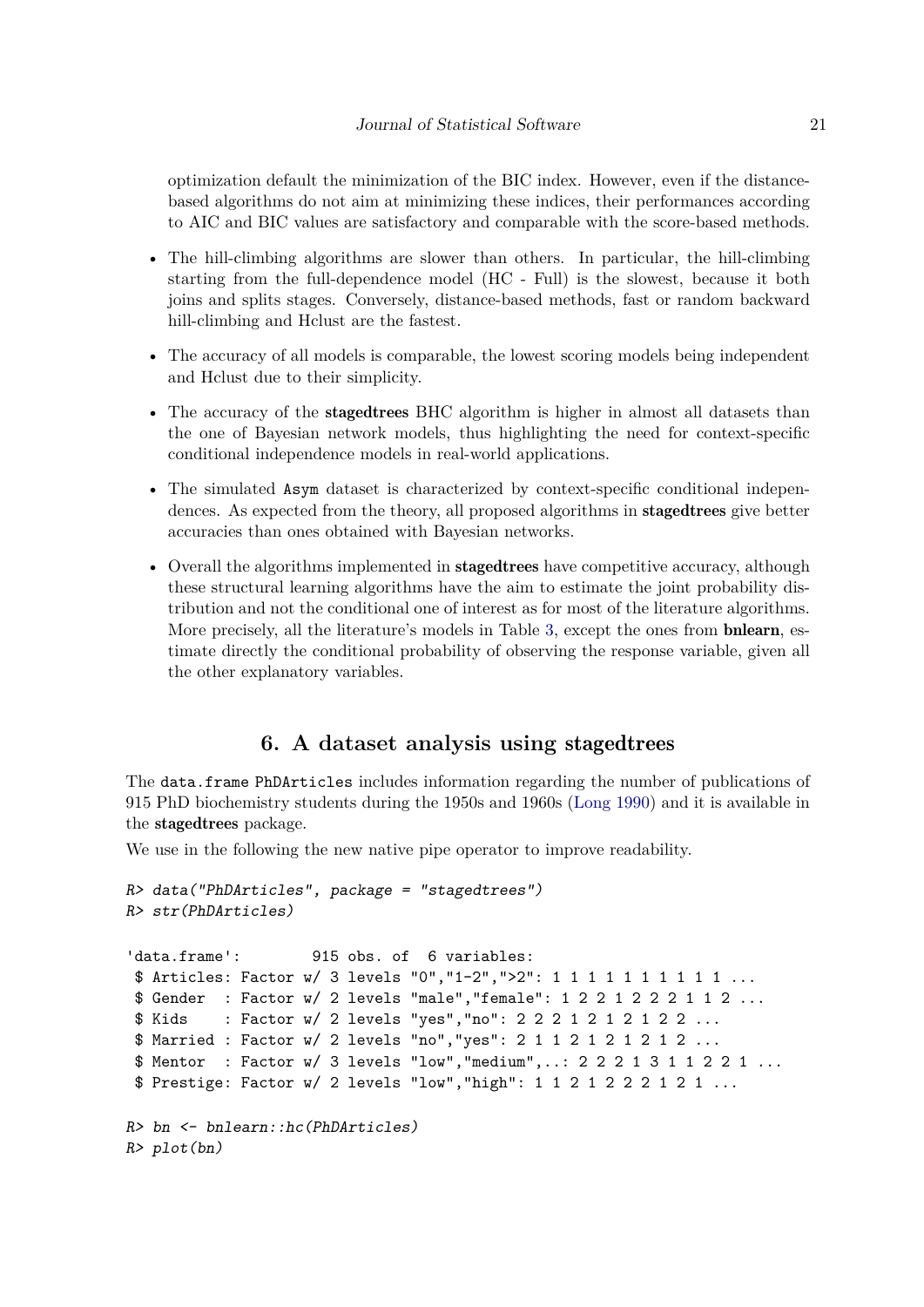optimization default the minimization of the BIC index. However, even if the distancebased algorithms do not aim at minimizing these indices, their performances according to AIC and BIC values are satisfactory and comparable with the score-based methods.

- The hill-climbing algorithms are slower than others. In particular, the hill-climbing starting from the full-dependence model (HC - Full) is the slowest, because it both joins and splits stages. Conversely, distance-based methods, fast or random backward hill-climbing and Hclust are the fastest.
- The accuracy of all models is comparable, the lowest scoring models being independent and Hclust due to their simplicity.
- The accuracy of the **stagedtrees** BHC algorithm is higher in almost all datasets than the one of Bayesian network models, thus highlighting the need for context-specific conditional independence models in real-world applications.
- The simulated Asym dataset is characterized by context-specific conditional independences. As expected from the theory, all proposed algorithms in stagedtrees give better accuracies than ones obtained with Bayesian networks.
- Overall the algorithms implemented in **stagedtrees** have competitive accuracy, although these structural learning algorithms have the aim to estimate the joint probability distribution and not the conditional one of interest as for most of the literature algorithms. More precisely, all the literature's models in Table [3,](#page-18-0) except the ones from **bnlearn**, estimate directly the conditional probability of observing the response variable, given all the other explanatory variables.

# **6. A dataset analysis using** stagedtrees

<span id="page-20-0"></span>The data.frame PhDArticles includes information regarding the number of publications of 915 PhD biochemistry students during the 1950s and 1960s [\(Long](#page-27-12) [1990\)](#page-27-12) and it is available in the stagedtrees package.

We use in the following the new native pipe operator to improve readability.

```
R> data("PhDArticles", package = "stagedtrees")
R> str(PhDArticles)
'data.frame': 915 obs. of 6 variables:
 $ Articles: Factor w/ 3 levels "0","1-2",">2": 1 1 1 1 1 1 1 1 1 1 ...
 $ Gender : Factor w/ 2 levels "male","female": 1 2 2 1 2 2 2 1 1 2 ...
 $ Kids : Factor w/ 2 levels "yes","no": 2 2 2 1 2 1 2 1 2 2 ...
 $ Married : Factor w/ 2 levels "no","yes": 2 1 1 2 1 2 1 2 1 2 ...
 $ Mentor : Factor w/ 3 levels "low","medium",..: 2 2 2 1 3 1 1 2 2 1 ...
 $ Prestige: Factor w/ 2 levels "low","high": 1 1 2 1 2 2 2 1 2 1 ...
R> bn <- bnlearn::hc(PhDArticles)
R> plot(bn)
```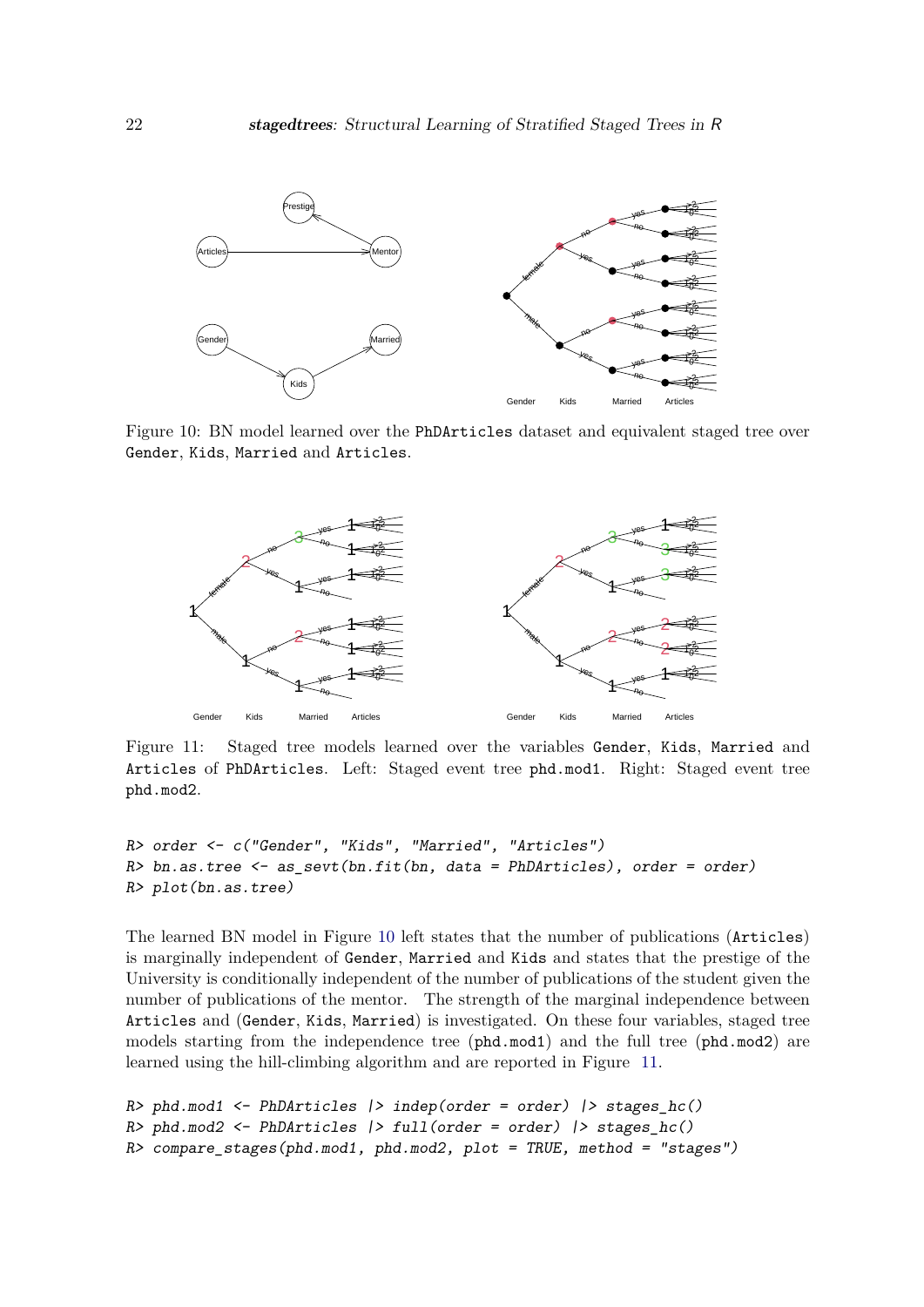<span id="page-21-0"></span>

Figure 10: BN model learned over the PhDArticles dataset and equivalent staged tree over Gender, Kids, Married and Articles.

<span id="page-21-1"></span>

Figure 11: Staged tree models learned over the variables Gender, Kids, Married and Articles of PhDArticles. Left: Staged event tree phd.mod1. Right: Staged event tree phd.mod2.

```
R> order <- c("Gender", "Kids", "Married", "Articles")
R> bn.as.tree <- as_sevt(bn.fit(bn, data = PhDArticles), order = order)
R> plot(bn.as.tree)
```
The learned BN model in Figure [10](#page-21-0) left states that the number of publications (Articles) is marginally independent of Gender, Married and Kids and states that the prestige of the University is conditionally independent of the number of publications of the student given the number of publications of the mentor. The strength of the marginal independence between Articles and (Gender, Kids, Married) is investigated. On these four variables, staged tree models starting from the independence tree (phd.mod1) and the full tree (phd.mod2) are learned using the hill-climbing algorithm and are reported in Figure [11.](#page-21-1)

```
R> phd.mod1 <- PhDArticles |> indep(order = order) |> stages_hc()
R> phd.mod2 <- PhDArticles |> full(order = order) |> stages_hc()
R> compare_stages(phd.mod1, phd.mod2, plot = TRUE, method = "stages")
```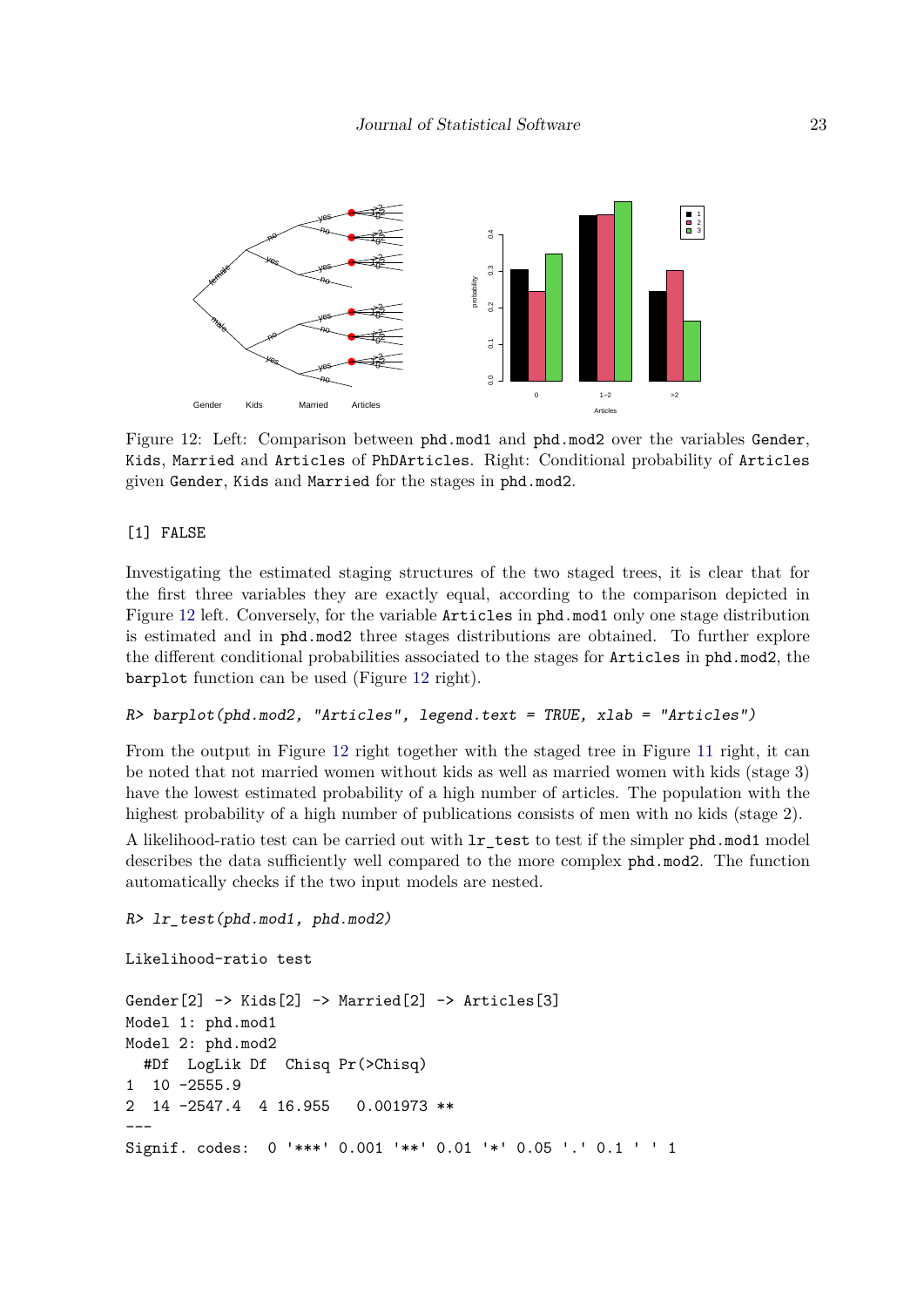<span id="page-22-0"></span>

Figure 12: Left: Comparison between phd.mod1 and phd.mod2 over the variables Gender, Kids, Married and Articles of PhDArticles. Right: Conditional probability of Articles given Gender, Kids and Married for the stages in phd.mod2.

#### [1] FALSE

Investigating the estimated staging structures of the two staged trees, it is clear that for the first three variables they are exactly equal, according to the comparison depicted in Figure [12](#page-22-0) left. Conversely, for the variable Articles in phd.mod1 only one stage distribution is estimated and in phd.mod2 three stages distributions are obtained. To further explore the different conditional probabilities associated to the stages for Articles in phd.mod2, the barplot function can be used (Figure [12](#page-22-0) right).

#### R> barplot(phd.mod2, "Articles", legend.text = TRUE, xlab = "Articles")

From the output in Figure [12](#page-22-0) right together with the staged tree in Figure [11](#page-21-1) right, it can be noted that not married women without kids as well as married women with kids (stage 3) have the lowest estimated probability of a high number of articles. The population with the highest probability of a high number of publications consists of men with no kids (stage 2).

A likelihood-ratio test can be carried out with lr\_test to test if the simpler phd.mod1 model describes the data sufficiently well compared to the more complex phd.mod2. The function automatically checks if the two input models are nested.

```
R> lr_test(phd.mod1, phd.mod2)
```

```
Likelihood-ratio test
```

```
Gender[2] \rightarrow Kids[2] \rightarrow Married[2] \rightarrow Articles[3]Model 1: phd.mod1
Model 2: phd.mod2
  #Df LogLik Df Chisq Pr(>Chisq)
1 10 -2555.9
2 14 -2547.4 4 16.955 0.001973 **
---
Signif. codes: 0 '***' 0.001 '**' 0.01 '*' 0.05 '.' 0.1 ' ' 1
```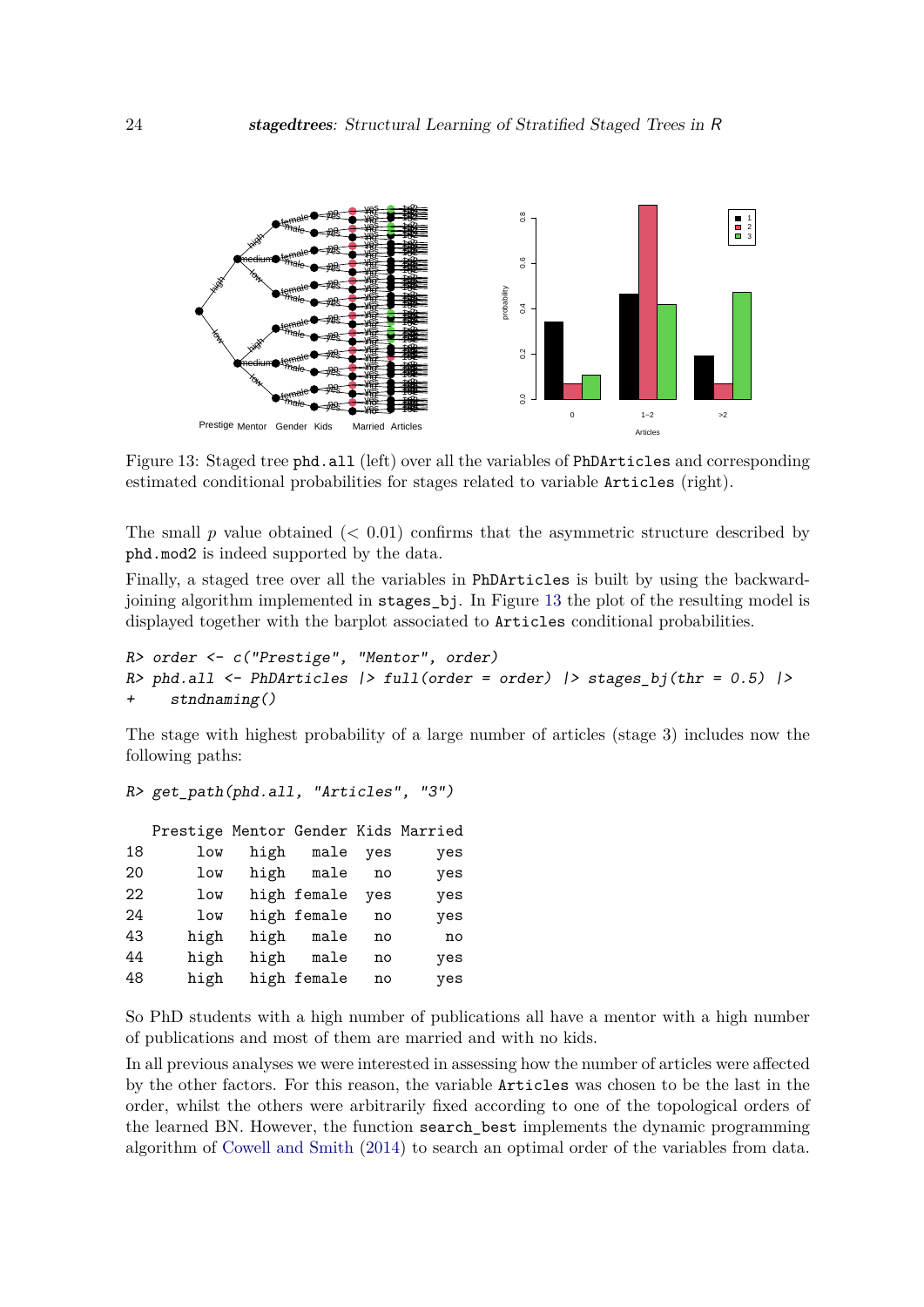<span id="page-23-0"></span>

Figure 13: Staged tree phd.all (left) over all the variables of PhDArticles and corresponding estimated conditional probabilities for stages related to variable Articles (right).

The small  $p$  value obtained  $\left($   $<$  0.01) confirms that the asymmetric structure described by phd.mod2 is indeed supported by the data.

Finally, a staged tree over all the variables in PhDArticles is built by using the backwardjoining algorithm implemented in stages\_bj. In Figure [13](#page-23-0) the plot of the resulting model is displayed together with the barplot associated to Articles conditional probabilities.

```
R> order <- c("Prestige", "Mentor", order)
R> phd.all <- PhDArticles |> full(order = order) |> stages bj(thr = 0.5) |>
+ stndnaming()
```
The stage with highest probability of a large number of articles (stage 3) includes now the following paths:

R> get\_path(phd.all, "Articles", "3")

Prestige Mentor Gender Kids Married 18 low high male yes yes 20 low high male no yes 22 low high female yes yes 24 low high female no yes 43 high high male no no 44 high high male no yes 48 high high female no yes

So PhD students with a high number of publications all have a mentor with a high number of publications and most of them are married and with no kids.

In all previous analyses we were interested in assessing how the number of articles were affected by the other factors. For this reason, the variable Articles was chosen to be the last in the order, whilst the others were arbitrarily fixed according to one of the topological orders of the learned BN. However, the function search\_best implements the dynamic programming algorithm of [Cowell and Smith](#page-25-6) [\(2014\)](#page-25-6) to search an optimal order of the variables from data.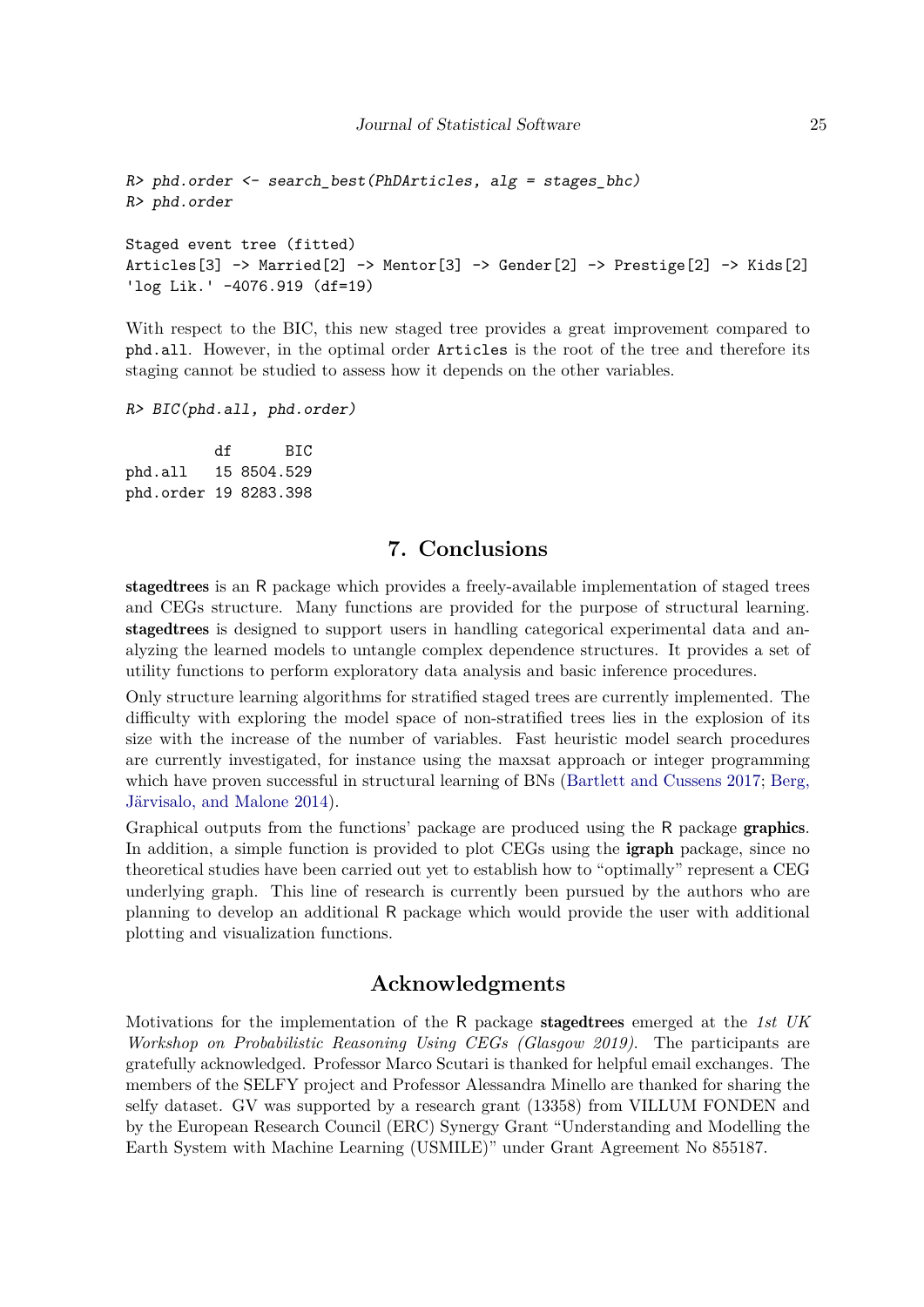```
R> phd.order <- search_best(PhDArticles, alg = stages_bhc)
R> phd.order
Staged event tree (fitted)
Articles[3] -> Married[2] -> Mentor[3] -> Gender[2] -> Prestige[2] -> Kids[2]
'log Lik.' -4076.919 (df=19)
```
With respect to the BIC, this new staged tree provides a great improvement compared to phd.all. However, in the optimal order Articles is the root of the tree and therefore its staging cannot be studied to assess how it depends on the other variables.

R> BIC(phd.all, phd.order)

df BIC phd.all 15 8504.529 phd.order 19 8283.398

### **7. Conclusions**

<span id="page-24-0"></span>stagedtrees is an R package which provides a freely-available implementation of staged trees and CEGs structure. Many functions are provided for the purpose of structural learning. stagedtrees is designed to support users in handling categorical experimental data and analyzing the learned models to untangle complex dependence structures. It provides a set of utility functions to perform exploratory data analysis and basic inference procedures.

Only structure learning algorithms for stratified staged trees are currently implemented. The difficulty with exploring the model space of non-stratified trees lies in the explosion of its size with the increase of the number of variables. Fast heuristic model search procedures are currently investigated, for instance using the maxsat approach or integer programming which have proven successful in structural learning of BNs [\(Bartlett and Cussens](#page-25-12) [2017;](#page-25-12) [Berg,](#page-25-13) [Järvisalo, and Malone](#page-25-13) [2014\)](#page-25-13).

Graphical outputs from the functions' package are produced using the R package **graphics**. In addition, a simple function is provided to plot CEGs using the **igraph** package, since no theoretical studies have been carried out yet to establish how to "optimally" represent a CEG underlying graph. This line of research is currently been pursued by the authors who are planning to develop an additional R package which would provide the user with additional plotting and visualization functions.

# **Acknowledgments**

Motivations for the implementation of the R package stagedtrees emerged at the *1st UK Workshop on Probabilistic Reasoning Using CEGs (Glasgow 2019)*. The participants are gratefully acknowledged. Professor Marco Scutari is thanked for helpful email exchanges. The members of the SELFY project and Professor Alessandra Minello are thanked for sharing the selfy dataset. GV was supported by a research grant (13358) from VILLUM FONDEN and by the European Research Council (ERC) Synergy Grant "Understanding and Modelling the Earth System with Machine Learning (USMILE)" under Grant Agreement No 855187.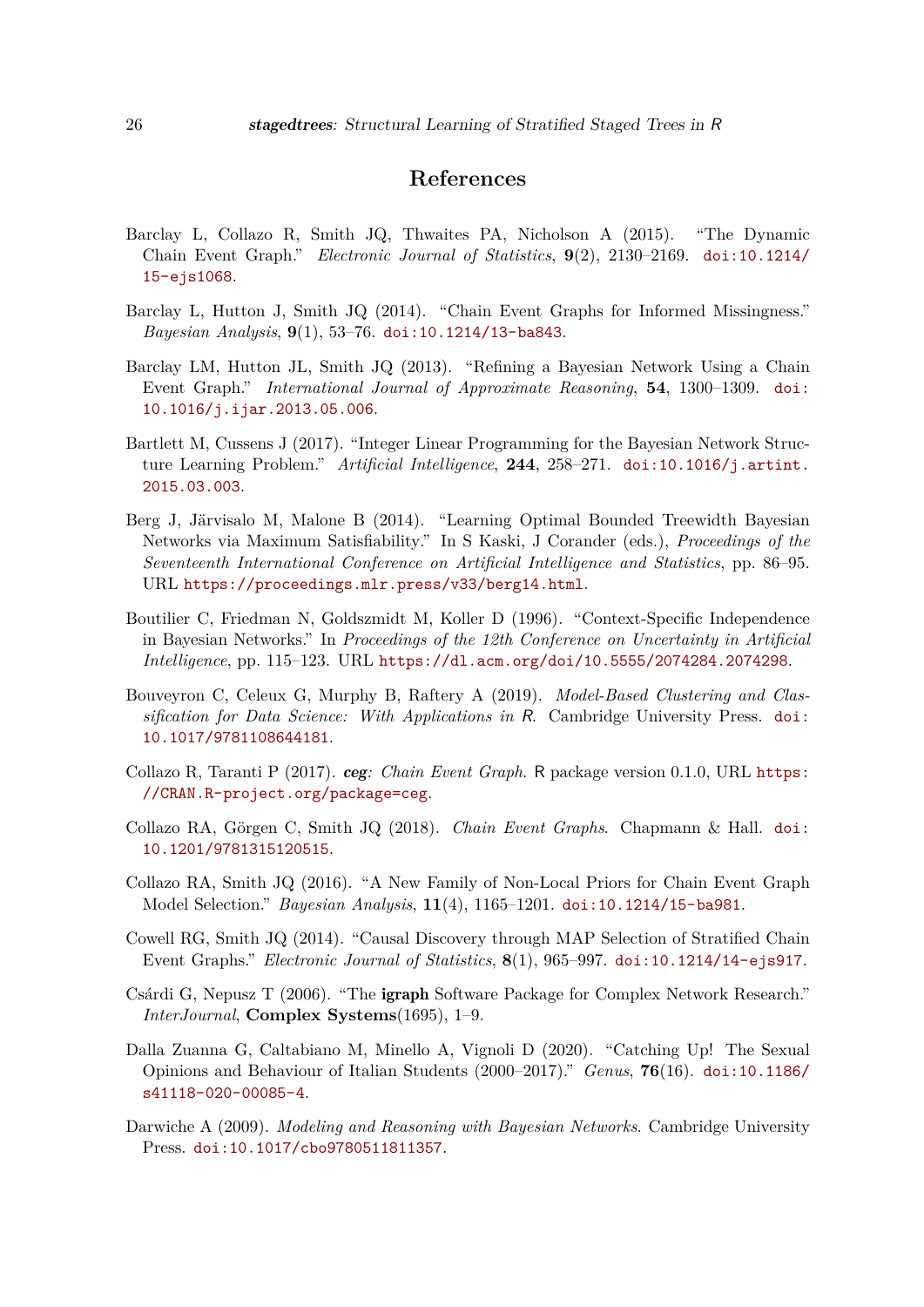# **References**

- <span id="page-25-7"></span>Barclay L, Collazo R, Smith JQ, Thwaites PA, Nicholson A (2015). "The Dynamic Chain Event Graph." *Electronic Journal of Statistics*, **9**(2), 2130–2169. [doi:10.1214/](https://doi.org/10.1214/15-ejs1068) [15-ejs1068](https://doi.org/10.1214/15-ejs1068).
- <span id="page-25-4"></span>Barclay L, Hutton J, Smith JQ (2014). "Chain Event Graphs for Informed Missingness." *Bayesian Analysis*, **9**(1), 53–76. [doi:10.1214/13-ba843](https://doi.org/10.1214/13-ba843).
- <span id="page-25-3"></span>Barclay LM, Hutton JL, Smith JQ (2013). "Refining a Bayesian Network Using a Chain Event Graph." *International Journal of Approximate Reasoning*, **54**, 1300–1309. [doi:](https://doi.org/10.1016/j.ijar.2013.05.006) [10.1016/j.ijar.2013.05.006](https://doi.org/10.1016/j.ijar.2013.05.006).
- <span id="page-25-12"></span>Bartlett M, Cussens J (2017). "Integer Linear Programming for the Bayesian Network Structure Learning Problem." *Artificial Intelligence*, **244**, 258–271. [doi:10.1016/j.artint.](https://doi.org/10.1016/j.artint.2015.03.003) [2015.03.003](https://doi.org/10.1016/j.artint.2015.03.003).
- <span id="page-25-13"></span>Berg J, Järvisalo M, Malone B (2014). "Learning Optimal Bounded Treewidth Bayesian Networks via Maximum Satisfiability." In S Kaski, J Corander (eds.), *Proceedings of the Seventeenth International Conference on Artificial Intelligence and Statistics*, pp. 86–95. URL <https://proceedings.mlr.press/v33/berg14.html>.
- <span id="page-25-1"></span>Boutilier C, Friedman N, Goldszmidt M, Koller D (1996). "Context-Specific Independence in Bayesian Networks." In *Proceedings of the 12th Conference on Uncertainty in Artificial Intelligence*, pp. 115–123. URL <https://dl.acm.org/doi/10.5555/2074284.2074298>.
- <span id="page-25-10"></span>Bouveyron C, Celeux G, Murphy B, Raftery A (2019). *Model-Based Clustering and Classification for Data Science: With Applications in* R. Cambridge University Press. [doi:](https://doi.org/10.1017/9781108644181) [10.1017/9781108644181](https://doi.org/10.1017/9781108644181).
- <span id="page-25-8"></span>Collazo R, Taranti P (2017). ceg*: Chain Event Graph*. R package version 0.1.0, URL [https:](https://CRAN.R-project.org/package=ceg) [//CRAN.R-project.org/package=ceg](https://CRAN.R-project.org/package=ceg).
- <span id="page-25-2"></span>Collazo RA, Görgen C, Smith JQ (2018). *Chain Event Graphs*. Chapmann & Hall. [doi:](https://doi.org/10.1201/9781315120515) [10.1201/9781315120515](https://doi.org/10.1201/9781315120515).
- <span id="page-25-5"></span>Collazo RA, Smith JQ (2016). "A New Family of Non-Local Priors for Chain Event Graph Model Selection." *Bayesian Analysis*, **11**(4), 1165–1201. [doi:10.1214/15-ba981](https://doi.org/10.1214/15-ba981).
- <span id="page-25-6"></span>Cowell RG, Smith JQ (2014). "Causal Discovery through MAP Selection of Stratified Chain Event Graphs." *Electronic Journal of Statistics*, **8**(1), 965–997. [doi:10.1214/14-ejs917](https://doi.org/10.1214/14-ejs917).
- <span id="page-25-9"></span>Csárdi G, Nepusz T (2006). "The igraph Software Package for Complex Network Research." *InterJournal*, **Complex Systems**(1695), 1–9.
- <span id="page-25-11"></span>Dalla Zuanna G, Caltabiano M, Minello A, Vignoli D (2020). "Catching Up! The Sexual Opinions and Behaviour of Italian Students (2000–2017)." *Genus*, **76**(16). [doi:10.1186/](https://doi.org/10.1186/s41118-020-00085-4) [s41118-020-00085-4](https://doi.org/10.1186/s41118-020-00085-4).
- <span id="page-25-0"></span>Darwiche A (2009). *Modeling and Reasoning with Bayesian Networks*. Cambridge University Press. [doi:10.1017/cbo9780511811357](https://doi.org/10.1017/cbo9780511811357).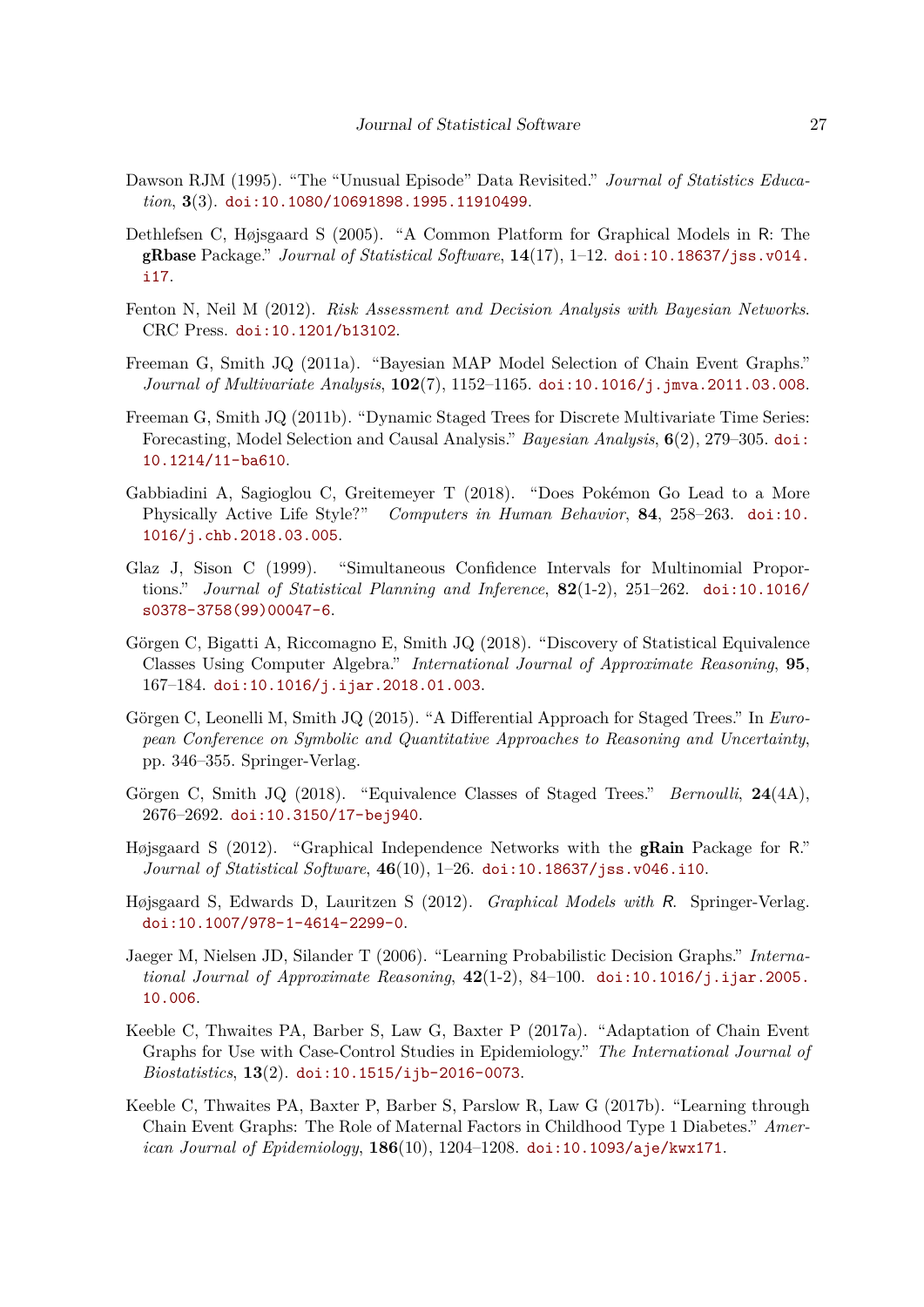- <span id="page-26-10"></span>Dawson RJM (1995). "The "Unusual Episode" Data Revisited." *Journal of Statistics Education*, **3**(3). [doi:10.1080/10691898.1995.11910499](https://doi.org/10.1080/10691898.1995.11910499).
- <span id="page-26-14"></span>Dethlefsen C, Højsgaard S (2005). "A Common Platform for Graphical Models in R: The gRbase Package." *Journal of Statistical Software*, **14**(17), 1–12. [doi:10.18637/jss.v014.](https://doi.org/10.18637/jss.v014.i17) [i17](https://doi.org/10.18637/jss.v014.i17).
- <span id="page-26-0"></span>Fenton N, Neil M (2012). *Risk Assessment and Decision Analysis with Bayesian Networks*. CRC Press. [doi:10.1201/b13102](https://doi.org/10.1201/b13102).
- <span id="page-26-9"></span>Freeman G, Smith JQ (2011a). "Bayesian MAP Model Selection of Chain Event Graphs." *Journal of Multivariate Analysis*, **102**(7), 1152–1165. [doi:10.1016/j.jmva.2011.03.008](https://doi.org/10.1016/j.jmva.2011.03.008).
- <span id="page-26-8"></span>Freeman G, Smith JQ (2011b). "Dynamic Staged Trees for Discrete Multivariate Time Series: Forecasting, Model Selection and Causal Analysis." *Bayesian Analysis*, **6**(2), 279–305. [doi:](https://doi.org/10.1214/11-ba610) [10.1214/11-ba610](https://doi.org/10.1214/11-ba610).
- <span id="page-26-13"></span>Gabbiadini A, Sagioglou C, Greitemeyer T (2018). "Does Pokémon Go Lead to a More Physically Active Life Style?" *Computers in Human Behavior*, **84**, 258–263. [doi:10.](https://doi.org/10.1016/j.chb.2018.03.005) [1016/j.chb.2018.03.005](https://doi.org/10.1016/j.chb.2018.03.005).
- <span id="page-26-11"></span>Glaz J, Sison C (1999). "Simultaneous Confidence Intervals for Multinomial Proportions." *Journal of Statistical Planning and Inference*, **82**(1-2), 251–262. [doi:10.1016/](https://doi.org/10.1016/s0378-3758(99)00047-6) [s0378-3758\(99\)00047-6](https://doi.org/10.1016/s0378-3758(99)00047-6).
- <span id="page-26-7"></span>Görgen C, Bigatti A, Riccomagno E, Smith JQ (2018). "Discovery of Statistical Equivalence Classes Using Computer Algebra." *International Journal of Approximate Reasoning*, **95**, 167–184. [doi:10.1016/j.ijar.2018.01.003](https://doi.org/10.1016/j.ijar.2018.01.003).
- <span id="page-26-5"></span>Görgen C, Leonelli M, Smith JQ (2015). "A Differential Approach for Staged Trees." In *European Conference on Symbolic and Quantitative Approaches to Reasoning and Uncertainty*, pp. 346–355. Springer-Verlag.
- <span id="page-26-6"></span>Görgen C, Smith JQ (2018). "Equivalence Classes of Staged Trees." *Bernoulli*, **24**(4A), 2676–2692. [doi:10.3150/17-bej940](https://doi.org/10.3150/17-bej940).
- <span id="page-26-1"></span>Højsgaard S (2012). "Graphical Independence Networks with the gRain Package for R." *Journal of Statistical Software*, **46**(10), 1–26. [doi:10.18637/jss.v046.i10](https://doi.org/10.18637/jss.v046.i10).
- <span id="page-26-12"></span>Højsgaard S, Edwards D, Lauritzen S (2012). *Graphical Models with* R. Springer-Verlag. [doi:10.1007/978-1-4614-2299-0](https://doi.org/10.1007/978-1-4614-2299-0).
- <span id="page-26-2"></span>Jaeger M, Nielsen JD, Silander T (2006). "Learning Probabilistic Decision Graphs." *International Journal of Approximate Reasoning*, **42**(1-2), 84–100. [doi:10.1016/j.ijar.2005.](https://doi.org/10.1016/j.ijar.2005.10.006) [10.006](https://doi.org/10.1016/j.ijar.2005.10.006).
- <span id="page-26-3"></span>Keeble C, Thwaites PA, Barber S, Law G, Baxter P (2017a). "Adaptation of Chain Event Graphs for Use with Case-Control Studies in Epidemiology." *The International Journal of Biostatistics*, **13**(2). [doi:10.1515/ijb-2016-0073](https://doi.org/10.1515/ijb-2016-0073).
- <span id="page-26-4"></span>Keeble C, Thwaites PA, Baxter P, Barber S, Parslow R, Law G (2017b). "Learning through Chain Event Graphs: The Role of Maternal Factors in Childhood Type 1 Diabetes." *American Journal of Epidemiology*, **186**(10), 1204–1208. [doi:10.1093/aje/kwx171](https://doi.org/10.1093/aje/kwx171).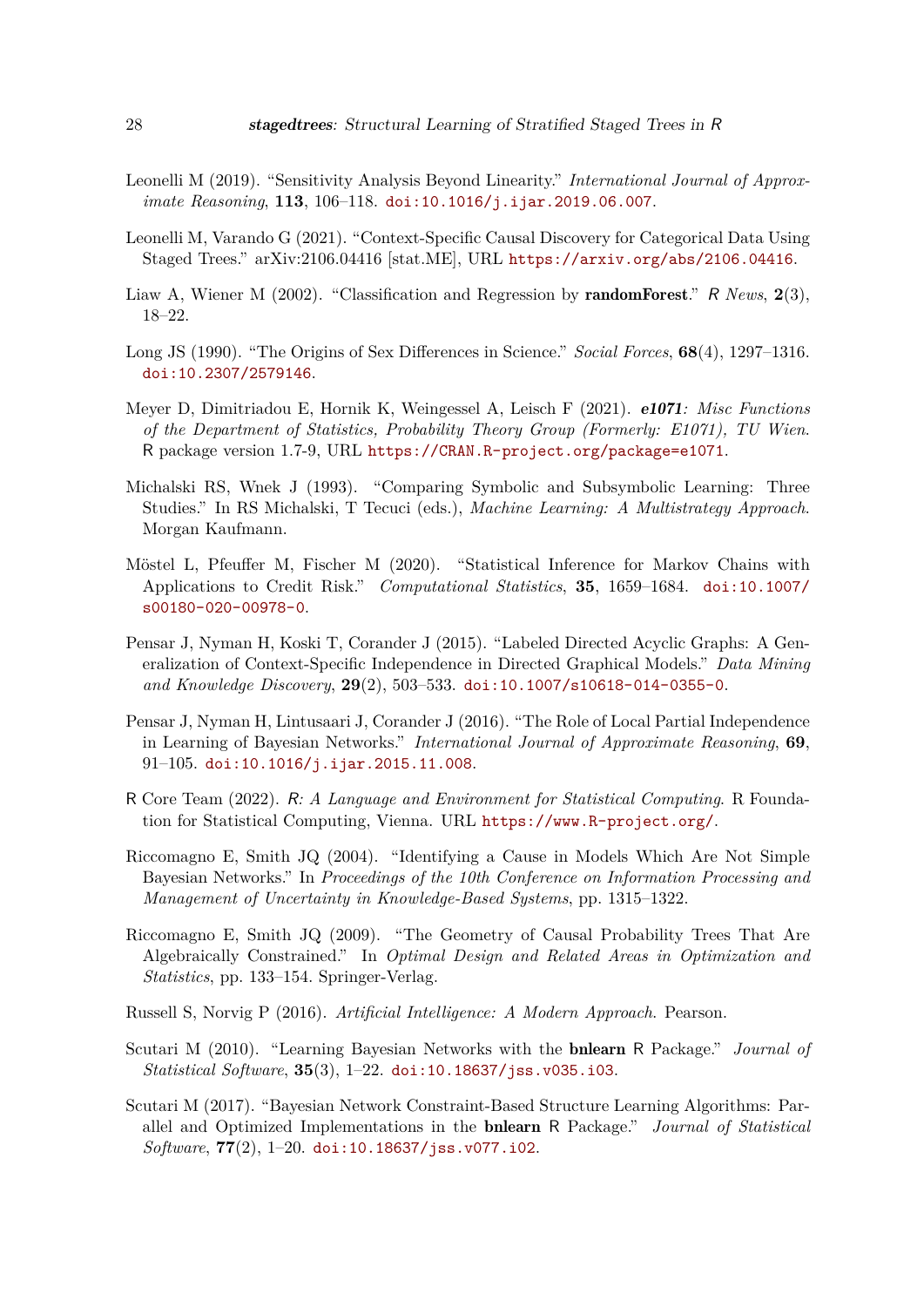- <span id="page-27-7"></span>Leonelli M (2019). "Sensitivity Analysis Beyond Linearity." *International Journal of Approximate Reasoning*, **113**, 106–118. [doi:10.1016/j.ijar.2019.06.007](https://doi.org/10.1016/j.ijar.2019.06.007).
- <span id="page-27-6"></span>Leonelli M, Varando G (2021). "Context-Specific Causal Discovery for Categorical Data Using Staged Trees." arXiv:2106.04416 [stat.ME], URL <https://arxiv.org/abs/2106.04416>.
- <span id="page-27-14"></span>Liaw A, Wiener M (2002). "Classification and Regression by randomForest." R *News*, **2**(3), 18–22.
- <span id="page-27-12"></span>Long JS (1990). "The Origins of Sex Differences in Science." *Social Forces*, **68**(4), 1297–1316. [doi:10.2307/2579146](https://doi.org/10.2307/2579146).
- <span id="page-27-13"></span>Meyer D, Dimitriadou E, Hornik K, Weingessel A, Leisch F (2021). e1071*: Misc Functions of the Department of Statistics, Probability Theory Group (Formerly: E1071), TU Wien*. R package version 1.7-9, URL <https://CRAN.R-project.org/package=e1071>.
- <span id="page-27-11"></span>Michalski RS, Wnek J (1993). "Comparing Symbolic and Subsymbolic Learning: Three Studies." In RS Michalski, T Tecuci (eds.), *Machine Learning: A Multistrategy Approach*. Morgan Kaufmann.
- <span id="page-27-9"></span>Möstel L, Pfeuffer M, Fischer M (2020). "Statistical Inference for Markov Chains with Applications to Credit Risk." *Computational Statistics*, **35**, 1659–1684. [doi:10.1007/](https://doi.org/10.1007/s00180-020-00978-0) [s00180-020-00978-0](https://doi.org/10.1007/s00180-020-00978-0).
- <span id="page-27-3"></span>Pensar J, Nyman H, Koski T, Corander J (2015). "Labeled Directed Acyclic Graphs: A Generalization of Context-Specific Independence in Directed Graphical Models." *Data Mining and Knowledge Discovery*, **29**(2), 503–533. [doi:10.1007/s10618-014-0355-0](https://doi.org/10.1007/s10618-014-0355-0).
- <span id="page-27-10"></span>Pensar J, Nyman H, Lintusaari J, Corander J (2016). "The Role of Local Partial Independence in Learning of Bayesian Networks." *International Journal of Approximate Reasoning*, **69**, 91–105. [doi:10.1016/j.ijar.2015.11.008](https://doi.org/10.1016/j.ijar.2015.11.008).
- <span id="page-27-0"></span>R Core Team (2022). R*: A Language and Environment for Statistical Computing*. R Foundation for Statistical Computing, Vienna. URL <https://www.R-project.org/>.
- <span id="page-27-4"></span>Riccomagno E, Smith JQ (2004). "Identifying a Cause in Models Which Are Not Simple Bayesian Networks." In *Proceedings of the 10th Conference on Information Processing and Management of Uncertainty in Knowledge-Based Systems*, pp. 1315–1322.
- <span id="page-27-5"></span>Riccomagno E, Smith JQ (2009). "The Geometry of Causal Probability Trees That Are Algebraically Constrained." In *Optimal Design and Related Areas in Optimization and Statistics*, pp. 133–154. Springer-Verlag.

<span id="page-27-8"></span>Russell S, Norvig P (2016). *Artificial Intelligence: A Modern Approach*. Pearson.

- <span id="page-27-1"></span>Scutari M (2010). "Learning Bayesian Networks with the bnlearn R Package." *Journal of Statistical Software*, **35**(3), 1–22. [doi:10.18637/jss.v035.i03](https://doi.org/10.18637/jss.v035.i03).
- <span id="page-27-2"></span>Scutari M (2017). "Bayesian Network Constraint-Based Structure Learning Algorithms: Parallel and Optimized Implementations in the bnlearn R Package." *Journal of Statistical Software*, **77**(2), 1–20. [doi:10.18637/jss.v077.i02](https://doi.org/10.18637/jss.v077.i02).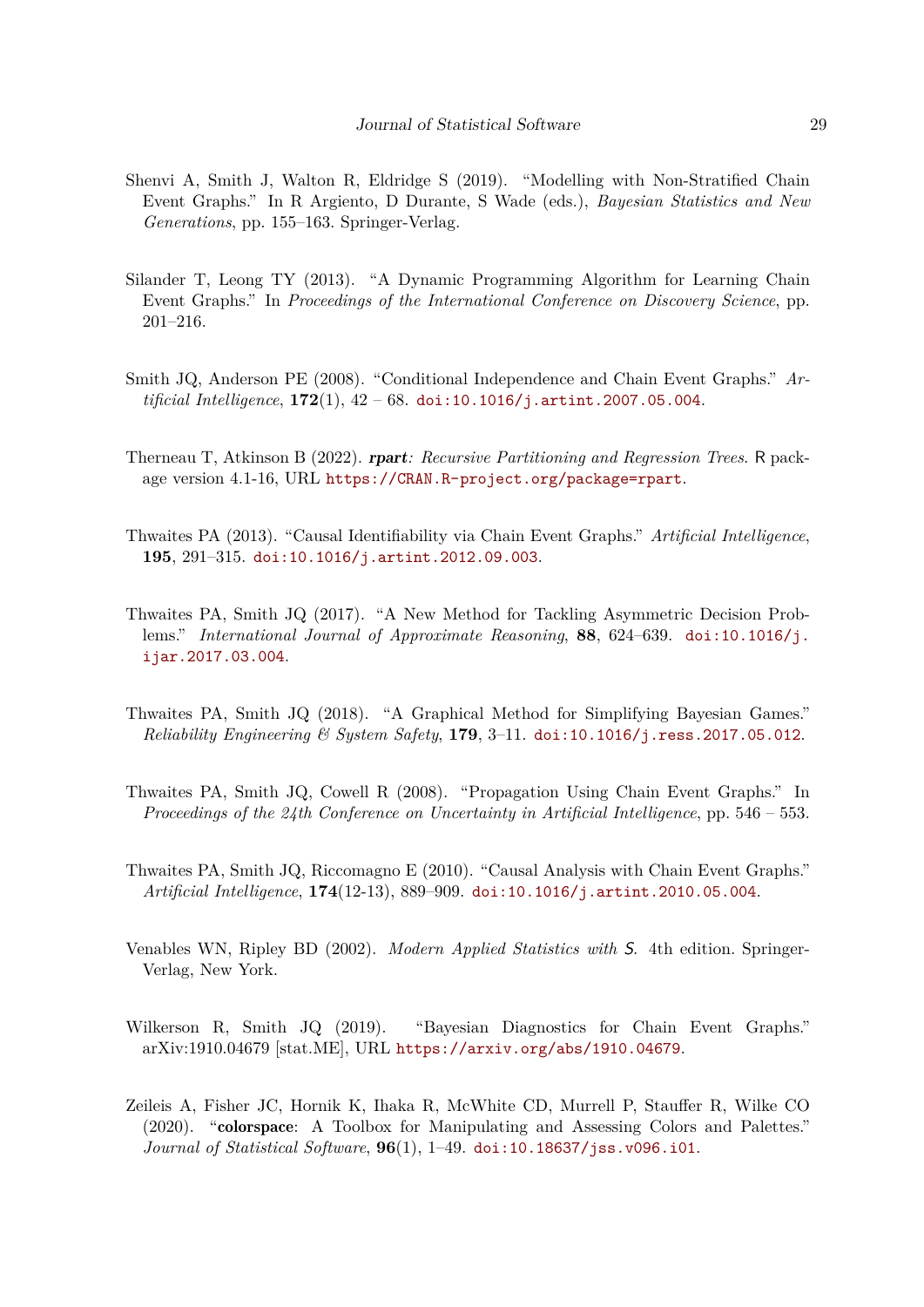- <span id="page-28-9"></span>Shenvi A, Smith J, Walton R, Eldridge S (2019). "Modelling with Non-Stratified Chain Event Graphs." In R Argiento, D Durante, S Wade (eds.), *Bayesian Statistics and New Generations*, pp. 155–163. Springer-Verlag.
- <span id="page-28-3"></span>Silander T, Leong TY (2013). "A Dynamic Programming Algorithm for Learning Chain Event Graphs." In *Proceedings of the International Conference on Discovery Science*, pp. 201–216.
- <span id="page-28-0"></span>Smith JQ, Anderson PE (2008). "Conditional Independence and Chain Event Graphs." *Artificial Intelligence*, **172**(1), 42 – 68. [doi:10.1016/j.artint.2007.05.004](https://doi.org/10.1016/j.artint.2007.05.004).
- <span id="page-28-11"></span>Therneau T, Atkinson B (2022). rpart*: Recursive Partitioning and Regression Trees*. R package version 4.1-16, URL <https://CRAN.R-project.org/package=rpart>.
- <span id="page-28-2"></span>Thwaites PA (2013). "Causal Identifiability via Chain Event Graphs." *Artificial Intelligence*, **195**, 291–315. [doi:10.1016/j.artint.2012.09.003](https://doi.org/10.1016/j.artint.2012.09.003).
- <span id="page-28-6"></span>Thwaites PA, Smith JQ (2017). "A New Method for Tackling Asymmetric Decision Problems." *International Journal of Approximate Reasoning*, **88**, 624–639. [doi:10.1016/j.](https://doi.org/10.1016/j.ijar.2017.03.004) [ijar.2017.03.004](https://doi.org/10.1016/j.ijar.2017.03.004).
- <span id="page-28-7"></span>Thwaites PA, Smith JQ (2018). "A Graphical Method for Simplifying Bayesian Games." *Reliability Engineering & System Safety*, **179**, 3–11. [doi:10.1016/j.ress.2017.05.012](https://doi.org/10.1016/j.ress.2017.05.012).
- <span id="page-28-4"></span>Thwaites PA, Smith JQ, Cowell R (2008). "Propagation Using Chain Event Graphs." In *Proceedings of the 24th Conference on Uncertainty in Artificial Intelligence*, pp. 546 – 553.
- <span id="page-28-1"></span>Thwaites PA, Smith JQ, Riccomagno E (2010). "Causal Analysis with Chain Event Graphs." *Artificial Intelligence*, **174**(12-13), 889–909. [doi:10.1016/j.artint.2010.05.004](https://doi.org/10.1016/j.artint.2010.05.004).
- <span id="page-28-10"></span>Venables WN, Ripley BD (2002). *Modern Applied Statistics with* S. 4th edition. Springer-Verlag, New York.
- <span id="page-28-5"></span>Wilkerson R, Smith JQ (2019). "Bayesian Diagnostics for Chain Event Graphs." arXiv:1910.04679 [stat.ME], URL <https://arxiv.org/abs/1910.04679>.
- <span id="page-28-8"></span>Zeileis A, Fisher JC, Hornik K, Ihaka R, McWhite CD, Murrell P, Stauffer R, Wilke CO (2020). "colorspace: A Toolbox for Manipulating and Assessing Colors and Palettes." *Journal of Statistical Software*, **96**(1), 1–49. [doi:10.18637/jss.v096.i01](https://doi.org/10.18637/jss.v096.i01).